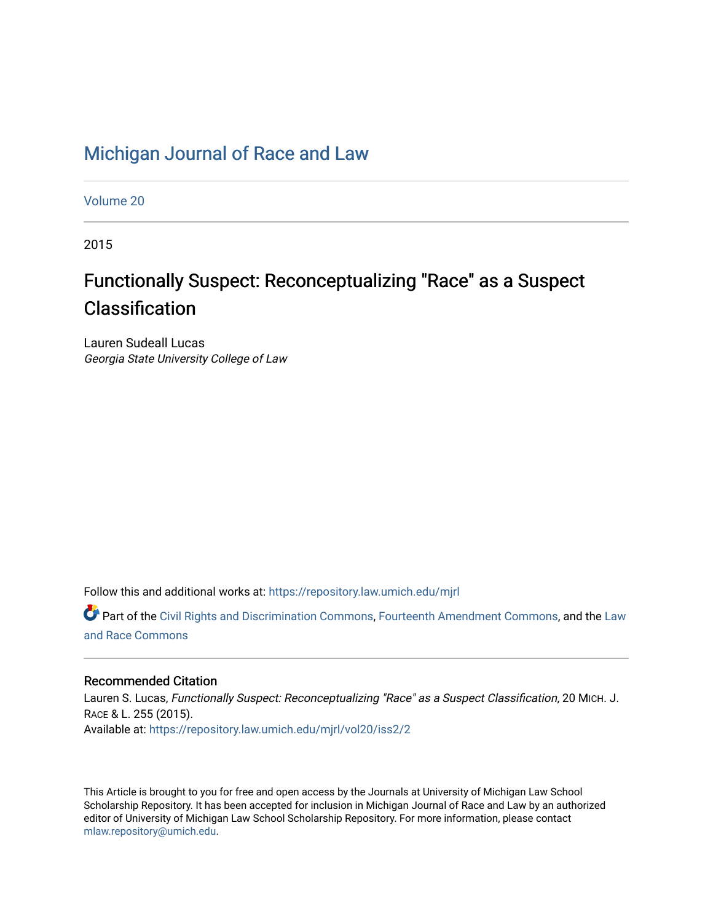## [Michigan Journal of Race and Law](https://repository.law.umich.edu/mjrl)

[Volume 20](https://repository.law.umich.edu/mjrl/vol20)

2015

# Functionally Suspect: Reconceptualizing "Race" as a Suspect Classification

Lauren Sudeall Lucas Georgia State University College of Law

Follow this and additional works at: [https://repository.law.umich.edu/mjrl](https://repository.law.umich.edu/mjrl?utm_source=repository.law.umich.edu%2Fmjrl%2Fvol20%2Fiss2%2F2&utm_medium=PDF&utm_campaign=PDFCoverPages) 

**P** Part of the [Civil Rights and Discrimination Commons,](http://network.bepress.com/hgg/discipline/585?utm_source=repository.law.umich.edu%2Fmjrl%2Fvol20%2Fiss2%2F2&utm_medium=PDF&utm_campaign=PDFCoverPages) [Fourteenth Amendment Commons](http://network.bepress.com/hgg/discipline/1116?utm_source=repository.law.umich.edu%2Fmjrl%2Fvol20%2Fiss2%2F2&utm_medium=PDF&utm_campaign=PDFCoverPages), and the Law [and Race Commons](http://network.bepress.com/hgg/discipline/1300?utm_source=repository.law.umich.edu%2Fmjrl%2Fvol20%2Fiss2%2F2&utm_medium=PDF&utm_campaign=PDFCoverPages) 

## Recommended Citation

Lauren S. Lucas, Functionally Suspect: Reconceptualizing "Race" as a Suspect Classification, 20 MICH. J. RACE & L. 255 (2015). Available at: [https://repository.law.umich.edu/mjrl/vol20/iss2/2](https://repository.law.umich.edu/mjrl/vol20/iss2/2?utm_source=repository.law.umich.edu%2Fmjrl%2Fvol20%2Fiss2%2F2&utm_medium=PDF&utm_campaign=PDFCoverPages) 

This Article is brought to you for free and open access by the Journals at University of Michigan Law School Scholarship Repository. It has been accepted for inclusion in Michigan Journal of Race and Law by an authorized editor of University of Michigan Law School Scholarship Repository. For more information, please contact [mlaw.repository@umich.edu.](mailto:mlaw.repository@umich.edu)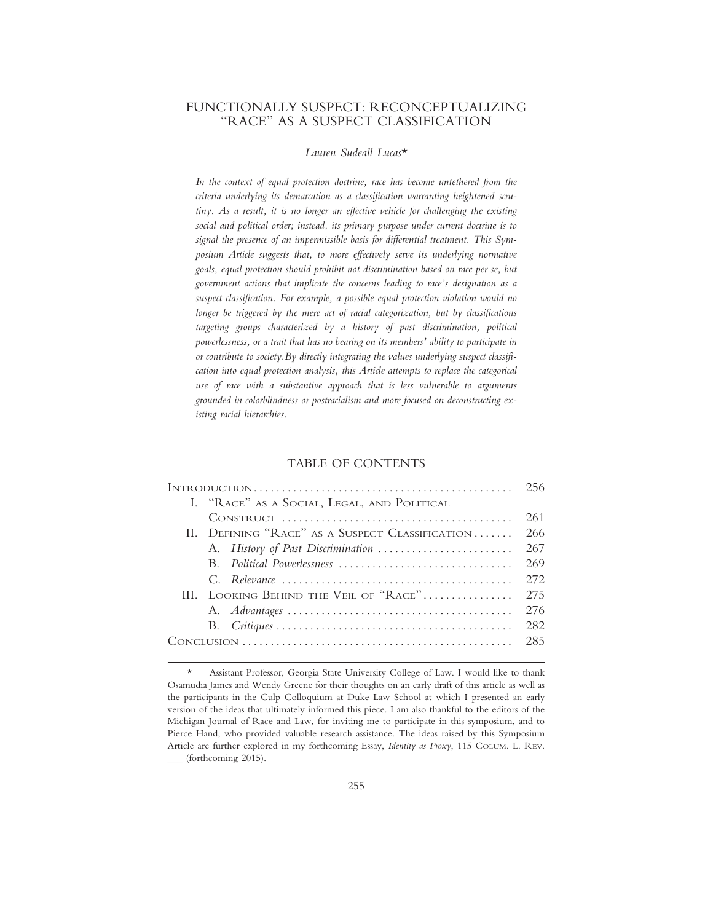## FUNCTIONALLY SUSPECT: RECONCEPTUALIZING "RACE" AS A SUSPECT CLASSIFICATION

#### *Lauren Sudeall Lucas*\*

*In the context of equal protection doctrine, race has become untethered from the criteria underlying its demarcation as a classification warranting heightened scrutiny. As a result, it is no longer an effective vehicle for challenging the existing social and political order; instead, its primary purpose under current doctrine is to signal the presence of an impermissible basis for differential treatment. This Symposium Article suggests that, to more effectively serve its underlying normative goals, equal protection should prohibit not discrimination based on race per se, but government actions that implicate the concerns leading to race's designation as a suspect classification. For example, a possible equal protection violation would no longer be triggered by the mere act of racial categorization, but by classifications targeting groups characterized by a history of past discrimination, political powerlessness, or a trait that has no bearing on its members' ability to participate in or contribute to society.By directly integrating the values underlying suspect classification into equal protection analysis, this Article attempts to replace the categorical use of race with a substantive approach that is less vulnerable to arguments grounded in colorblindness or postracialism and more focused on deconstructing existing racial hierarchies.*

#### TABLE OF CONTENTS

|  |                                                 |                                             | 256 |
|--|-------------------------------------------------|---------------------------------------------|-----|
|  |                                                 | I. "RACE" AS A SOCIAL, LEGAL, AND POLITICAL |     |
|  |                                                 |                                             | 261 |
|  | II. DEFINING "RACE" AS A SUSPECT CLASSIFICATION |                                             | 266 |
|  |                                                 | A. History of Past Discrimination           | 267 |
|  |                                                 |                                             | 269 |
|  |                                                 |                                             | 272 |
|  |                                                 | III. LOOKING BEHIND THE VEIL OF "RACE"      | 275 |
|  |                                                 |                                             | 276 |
|  |                                                 |                                             | 282 |
|  |                                                 |                                             | 285 |

<sup>\*</sup> Assistant Professor, Georgia State University College of Law. I would like to thank Osamudia James and Wendy Greene for their thoughts on an early draft of this article as well as the participants in the Culp Colloquium at Duke Law School at which I presented an early version of the ideas that ultimately informed this piece. I am also thankful to the editors of the Michigan Journal of Race and Law, for inviting me to participate in this symposium, and to Pierce Hand, who provided valuable research assistance. The ideas raised by this Symposium Article are further explored in my forthcoming Essay, *Identity as Proxy*, 115 COLUM. L. REV. \_\_\_ (forthcoming 2015).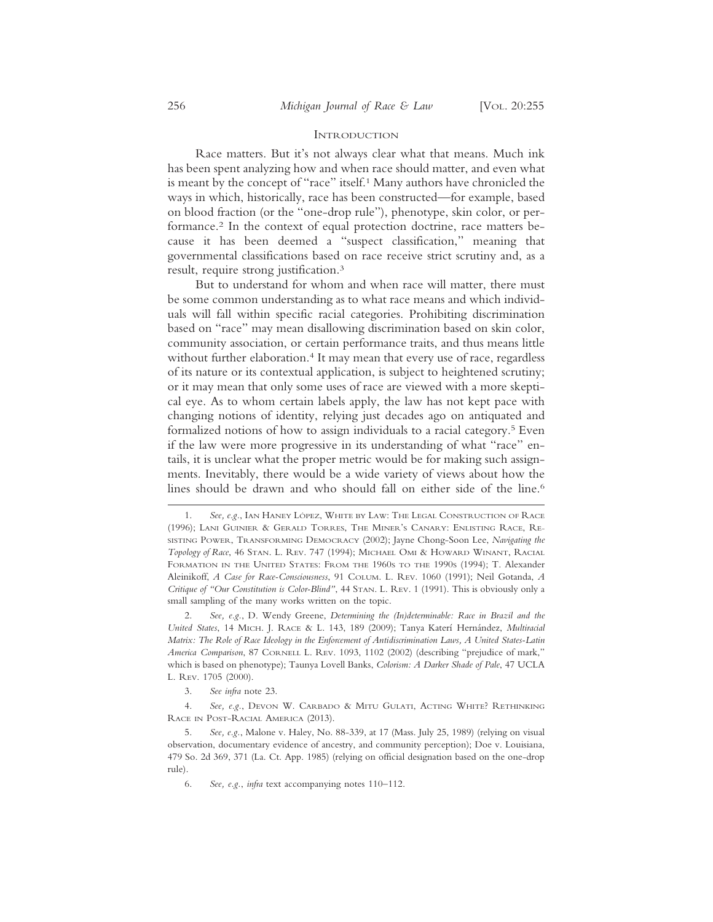#### **INTRODUCTION**

Race matters. But it's not always clear what that means. Much ink has been spent analyzing how and when race should matter, and even what is meant by the concept of "race" itself.<sup>1</sup> Many authors have chronicled the ways in which, historically, race has been constructed—for example, based on blood fraction (or the "one-drop rule"), phenotype, skin color, or performance.2 In the context of equal protection doctrine, race matters because it has been deemed a "suspect classification," meaning that governmental classifications based on race receive strict scrutiny and, as a result, require strong justification.3

But to understand for whom and when race will matter, there must be some common understanding as to what race means and which individuals will fall within specific racial categories. Prohibiting discrimination based on "race" may mean disallowing discrimination based on skin color, community association, or certain performance traits, and thus means little without further elaboration.<sup>4</sup> It may mean that every use of race, regardless of its nature or its contextual application, is subject to heightened scrutiny; or it may mean that only some uses of race are viewed with a more skeptical eye. As to whom certain labels apply, the law has not kept pace with changing notions of identity, relying just decades ago on antiquated and formalized notions of how to assign individuals to a racial category.5 Even if the law were more progressive in its understanding of what "race" entails, it is unclear what the proper metric would be for making such assignments. Inevitably, there would be a wide variety of views about how the lines should be drawn and who should fall on either side of the line.<sup>6</sup>

2. *See, e.g.*, D. Wendy Greene, *Determining the (In)determinable: Race in Brazil and the United States*, 14 MICH. J. RACE & L. 143, 189 (2009); Tanya Kater´ı Hern´andez, *Multiracial Matrix: The Role of Race Ideology in the Enforcement of Antidiscrimination Laws, A United States-Latin America Comparison*, 87 CORNELL L. REV. 1093, 1102 (2002) (describing "prejudice of mark," which is based on phenotype); Taunya Lovell Banks, *Colorism: A Darker Shade of Pale*, 47 UCLA L. REV. 1705 (2000).

3. *See infra* note 23.

4. *See, e.g.*, DEVON W. CARBADO & MITU GULATI, ACTING WHITE? RETHINKING RACE IN POST-RACIAL AMERICA (2013).

5. *See, e.g.*, Malone v. Haley, No. 88-339, at 17 (Mass. July 25, 1989) (relying on visual observation, documentary evidence of ancestry, and community perception); Doe v. Louisiana, 479 So. 2d 369, 371 (La. Ct. App. 1985) (relying on official designation based on the one-drop rule).

6. *See, e.g.*, *infra* text accompanying notes 110–112.

See, e.g., IAN HANEY LÓPEZ, WHITE BY LAW: THE LEGAL CONSTRUCTION OF RACE (1996); LANI GUINIER & GERALD TORRES, THE MINER'S CANARY: ENLISTING RACE, RE-SISTING POWER, TRANSFORMING DEMOCRACY (2002); Jayne Chong-Soon Lee, *Navigating the Topology of Race*, 46 STAN. L. REV. 747 (1994); MICHAEL OMI & HOWARD WINANT, RACIAL FORMATION IN THE UNITED STATES: FROM THE 1960S TO THE 1990S (1994); T. Alexander Aleinikoff, *A Case for Race-Consciousness*, 91 COLUM. L. REV. 1060 (1991); Neil Gotanda, *A Critique of "Our Constitution is Color-Blind"*, 44 STAN. L. REV. 1 (1991). This is obviously only a small sampling of the many works written on the topic.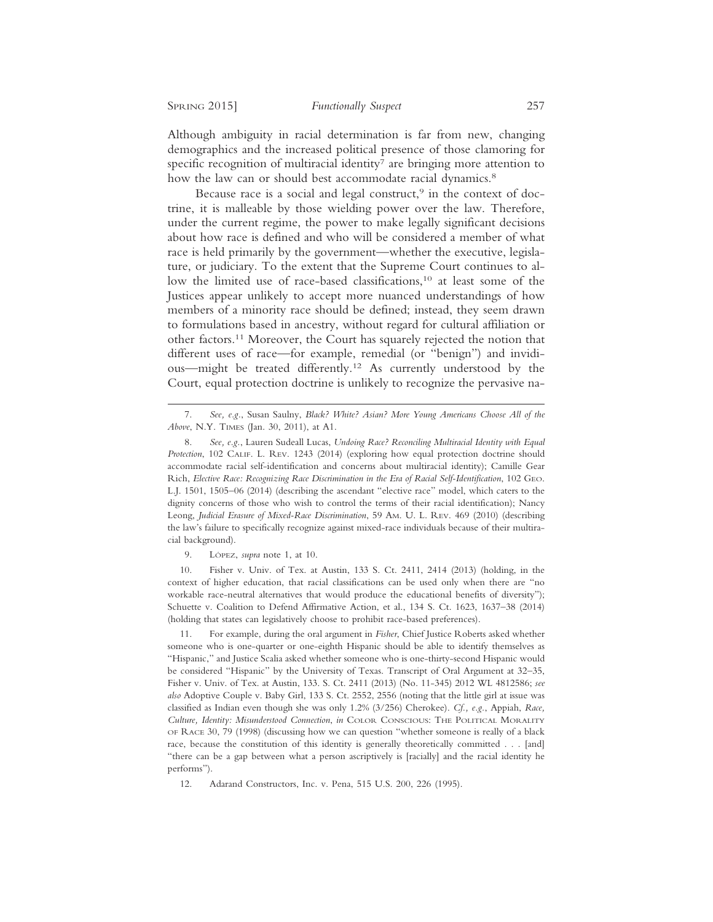Although ambiguity in racial determination is far from new, changing demographics and the increased political presence of those clamoring for specific recognition of multiracial identity<sup>7</sup> are bringing more attention to how the law can or should best accommodate racial dynamics.<sup>8</sup>

Because race is a social and legal construct,<sup>9</sup> in the context of doctrine, it is malleable by those wielding power over the law. Therefore, under the current regime, the power to make legally significant decisions about how race is defined and who will be considered a member of what race is held primarily by the government—whether the executive, legislature, or judiciary. To the extent that the Supreme Court continues to allow the limited use of race-based classifications,<sup>10</sup> at least some of the Justices appear unlikely to accept more nuanced understandings of how members of a minority race should be defined; instead, they seem drawn to formulations based in ancestry, without regard for cultural affiliation or other factors.11 Moreover, the Court has squarely rejected the notion that different uses of race—for example, remedial (or "benign") and invidious—might be treated differently.12 As currently understood by the Court, equal protection doctrine is unlikely to recognize the pervasive na-

9. LÓPEZ, *supra* note 1, at 10.

10. Fisher v. Univ. of Tex. at Austin, 133 S. Ct. 2411, 2414 (2013) (holding, in the context of higher education, that racial classifications can be used only when there are "no workable race-neutral alternatives that would produce the educational benefits of diversity"); Schuette v. Coalition to Defend Affirmative Action, et al., 134 S. Ct. 1623, 1637–38 (2014) (holding that states can legislatively choose to prohibit race-based preferences).

11. For example, during the oral argument in *Fisher*, Chief Justice Roberts asked whether someone who is one-quarter or one-eighth Hispanic should be able to identify themselves as "Hispanic," and Justice Scalia asked whether someone who is one-thirty-second Hispanic would be considered "Hispanic" by the University of Texas. Transcript of Oral Argument at 32–35, Fisher v. Univ. of Tex. at Austin, 133. S. Ct. 2411 (2013) (No. 11-345) 2012 WL 4812586; *see also* Adoptive Couple v. Baby Girl, 133 S. Ct. 2552, 2556 (noting that the little girl at issue was classified as Indian even though she was only 1.2% (3/256) Cherokee). *Cf., e.g.*, Appiah, *Race, Culture, Identity: Misunderstood Connection*, *in* COLOR CONSCIOUS: THE POLITICAL MORALITY OF RACE 30, 79 (1998) (discussing how we can question "whether someone is really of a black race, because the constitution of this identity is generally theoretically committed . . . [and] "there can be a gap between what a person ascriptively is [racially] and the racial identity he performs").

12. Adarand Constructors, Inc. v. Pena, 515 U.S. 200, 226 (1995).

<sup>7.</sup> *See, e.g.*, Susan Saulny, *Black? White? Asian? More Young Americans Choose All of the Above*, N.Y. TIMES (Jan. 30, 2011), at A1.

<sup>8.</sup> *See, e.g.*, Lauren Sudeall Lucas, *Undoing Race? Reconciling Multiracial Identity with Equal Protection*, 102 CALIF. L. REV. 1243 (2014) (exploring how equal protection doctrine should accommodate racial self-identification and concerns about multiracial identity); Camille Gear Rich, *Elective Race: Recognizing Race Discrimination in the Era of Racial Self-Identification*, 102 GEO. L.J. 1501, 1505–06 (2014) (describing the ascendant "elective race" model, which caters to the dignity concerns of those who wish to control the terms of their racial identification); Nancy Leong, *Judicial Erasure of Mixed-Race Discrimination*, 59 AM. U. L. REV. 469 (2010) (describing the law's failure to specifically recognize against mixed-race individuals because of their multiracial background).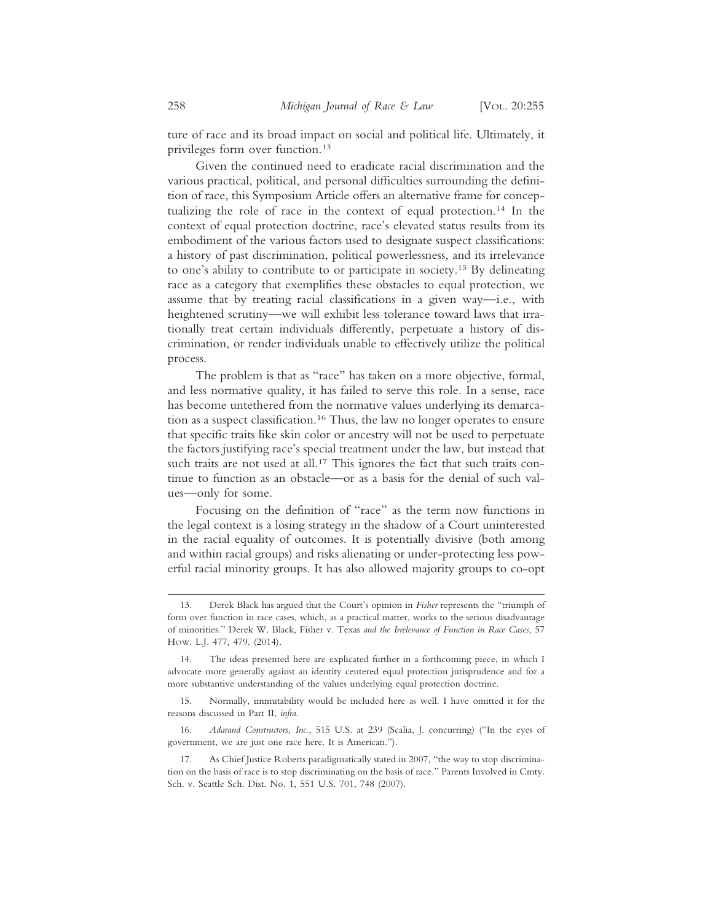ture of race and its broad impact on social and political life. Ultimately, it privileges form over function.13

Given the continued need to eradicate racial discrimination and the various practical, political, and personal difficulties surrounding the definition of race, this Symposium Article offers an alternative frame for conceptualizing the role of race in the context of equal protection.14 In the context of equal protection doctrine, race's elevated status results from its embodiment of the various factors used to designate suspect classifications: a history of past discrimination, political powerlessness, and its irrelevance to one's ability to contribute to or participate in society.15 By delineating race as a category that exemplifies these obstacles to equal protection, we assume that by treating racial classifications in a given way—i.e., with heightened scrutiny—we will exhibit less tolerance toward laws that irrationally treat certain individuals differently, perpetuate a history of discrimination, or render individuals unable to effectively utilize the political process.

The problem is that as "race" has taken on a more objective, formal, and less normative quality, it has failed to serve this role. In a sense, race has become untethered from the normative values underlying its demarcation as a suspect classification.16 Thus, the law no longer operates to ensure that specific traits like skin color or ancestry will not be used to perpetuate the factors justifying race's special treatment under the law, but instead that such traits are not used at all.<sup>17</sup> This ignores the fact that such traits continue to function as an obstacle—or as a basis for the denial of such values—only for some.

Focusing on the definition of "race" as the term now functions in the legal context is a losing strategy in the shadow of a Court uninterested in the racial equality of outcomes. It is potentially divisive (both among and within racial groups) and risks alienating or under-protecting less powerful racial minority groups. It has also allowed majority groups to co-opt

<sup>13.</sup> Derek Black has argued that the Court's opinion in *Fisher* represents the "triumph of form over function in race cases, which, as a practical matter, works to the serious disadvantage of minorities." Derek W. Black, Fisher v. Texas *and the Irrelevance of Function in Race Cases*, 57 HOW. L.J. 477, 479. (2014).

<sup>14.</sup> The ideas presented here are explicated further in a forthcoming piece, in which I advocate more generally against an identity centered equal protection jurisprudence and for a more substantive understanding of the values underlying equal protection doctrine.

<sup>15.</sup> Normally, immutability would be included here as well. I have omitted it for the reasons discussed in Part II, *infra*.

<sup>16.</sup> *Adarand Constructors, Inc.*, 515 U.S. at 239 (Scalia, J. concurring) ("In the eyes of government, we are just one race here. It is American.").

<sup>17.</sup> As Chief Justice Roberts paradigmatically stated in 2007, "the way to stop discrimination on the basis of race is to stop discriminating on the basis of race." Parents Involved in Cmty. Sch. v. Seattle Sch. Dist. No. 1, 551 U.S. 701, 748 (2007).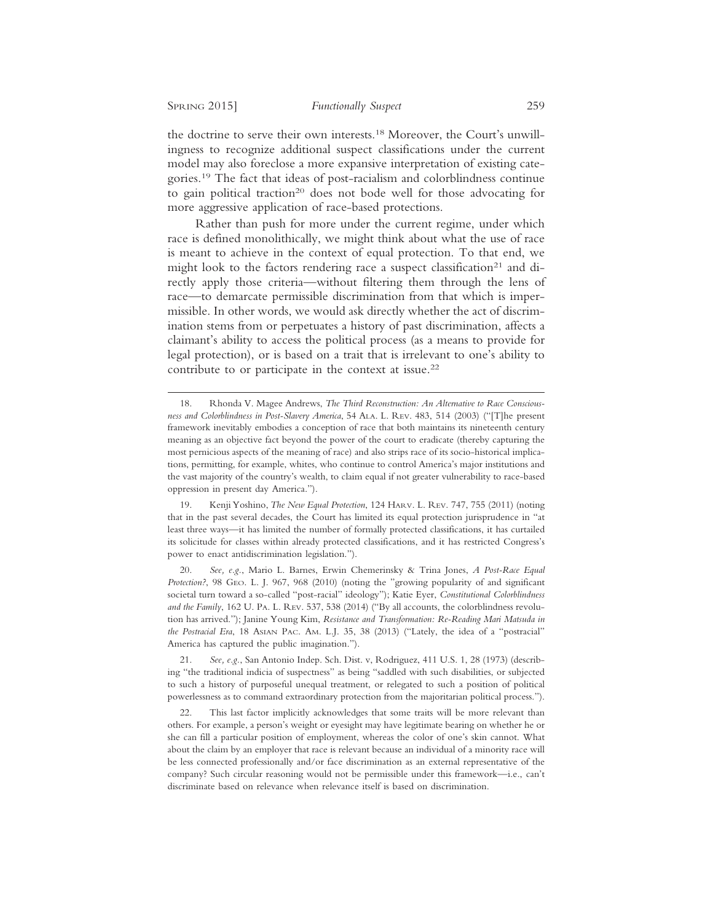the doctrine to serve their own interests.18 Moreover, the Court's unwillingness to recognize additional suspect classifications under the current model may also foreclose a more expansive interpretation of existing categories.19 The fact that ideas of post-racialism and colorblindness continue to gain political traction<sup>20</sup> does not bode well for those advocating for more aggressive application of race-based protections.

Rather than push for more under the current regime, under which race is defined monolithically, we might think about what the use of race is meant to achieve in the context of equal protection. To that end, we might look to the factors rendering race a suspect classification<sup>21</sup> and directly apply those criteria—without filtering them through the lens of race—to demarcate permissible discrimination from that which is impermissible. In other words, we would ask directly whether the act of discrimination stems from or perpetuates a history of past discrimination, affects a claimant's ability to access the political process (as a means to provide for legal protection), or is based on a trait that is irrelevant to one's ability to contribute to or participate in the context at issue.22

19. Kenji Yoshino, *The New Equal Protection*, 124 HARV. L. REV. 747, 755 (2011) (noting that in the past several decades, the Court has limited its equal protection jurisprudence in "at least three ways—it has limited the number of formally protected classifications, it has curtailed its solicitude for classes within already protected classifications, and it has restricted Congress's power to enact antidiscrimination legislation.").

20. *See, e.g.*, Mario L. Barnes, Erwin Chemerinsky & Trina Jones, *A Post-Race Equal Protection?*, 98 GEO. L. J. 967, 968 (2010) (noting the "growing popularity of and significant societal turn toward a so-called "post-racial" ideology"); Katie Eyer, *Constitutional Colorblindness and the Family*, 162 U. PA. L. REV. 537, 538 (2014) ("By all accounts, the colorblindness revolution has arrived."); Janine Young Kim, *Resistance and Transformation: Re-Reading Mari Matsuda in the Postracial Era*, 18 ASIAN PAC. AM. L.J. 35, 38 (2013) ("Lately, the idea of a "postracial" America has captured the public imagination.").

21. *See, e.g.*, San Antonio Indep. Sch. Dist. v, Rodriguez, 411 U.S. 1, 28 (1973) (describing "the traditional indicia of suspectness" as being "saddled with such disabilities, or subjected to such a history of purposeful unequal treatment, or relegated to such a position of political powerlessness as to command extraordinary protection from the majoritarian political process.").

22. This last factor implicitly acknowledges that some traits will be more relevant than others. For example, a person's weight or eyesight may have legitimate bearing on whether he or she can fill a particular position of employment, whereas the color of one's skin cannot. What about the claim by an employer that race is relevant because an individual of a minority race will be less connected professionally and/or face discrimination as an external representative of the company? Such circular reasoning would not be permissible under this framework—i.e., can't discriminate based on relevance when relevance itself is based on discrimination.

<sup>18.</sup> Rhonda V. Magee Andrews, *The Third Reconstruction: An Alternative to Race Consciousness and Colorblindness in Post-Slavery America*, 54 ALA. L. REV. 483, 514 (2003) ("[T]he present framework inevitably embodies a conception of race that both maintains its nineteenth century meaning as an objective fact beyond the power of the court to eradicate (thereby capturing the most pernicious aspects of the meaning of race) and also strips race of its socio-historical implications, permitting, for example, whites, who continue to control America's major institutions and the vast majority of the country's wealth, to claim equal if not greater vulnerability to race-based oppression in present day America.").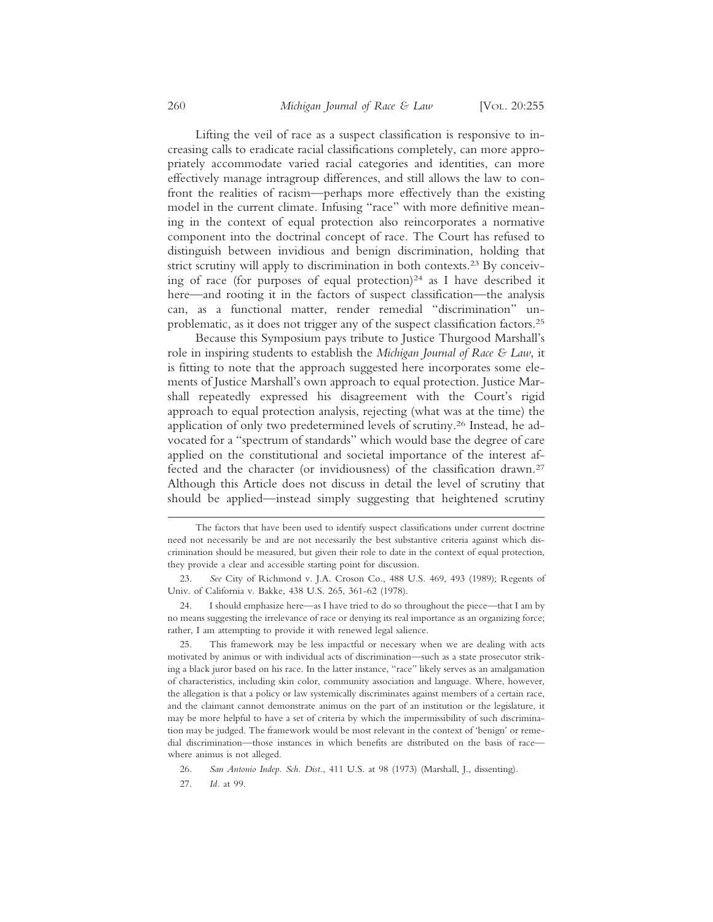Lifting the veil of race as a suspect classification is responsive to increasing calls to eradicate racial classifications completely, can more appropriately accommodate varied racial categories and identities, can more effectively manage intragroup differences, and still allows the law to confront the realities of racism—perhaps more effectively than the existing model in the current climate. Infusing "race" with more definitive meaning in the context of equal protection also reincorporates a normative component into the doctrinal concept of race. The Court has refused to distinguish between invidious and benign discrimination, holding that strict scrutiny will apply to discrimination in both contexts.23 By conceiving of race (for purposes of equal protection)<sup>24</sup> as I have described it here—and rooting it in the factors of suspect classification—the analysis can, as a functional matter, render remedial "discrimination" unproblematic, as it does not trigger any of the suspect classification factors.25

Because this Symposium pays tribute to Justice Thurgood Marshall's role in inspiring students to establish the *Michigan Journal of Race & Law*, it is fitting to note that the approach suggested here incorporates some elements of Justice Marshall's own approach to equal protection. Justice Marshall repeatedly expressed his disagreement with the Court's rigid approach to equal protection analysis, rejecting (what was at the time) the application of only two predetermined levels of scrutiny.26 Instead, he advocated for a "spectrum of standards" which would base the degree of care applied on the constitutional and societal importance of the interest affected and the character (or invidiousness) of the classification drawn.27 Although this Article does not discuss in detail the level of scrutiny that should be applied—instead simply suggesting that heightened scrutiny

24. I should emphasize here—as I have tried to do so throughout the piece—that I am by no means suggesting the irrelevance of race or denying its real importance as an organizing force; rather, I am attempting to provide it with renewed legal salience.

25. This framework may be less impactful or necessary when we are dealing with acts motivated by animus or with individual acts of discrimination—such as a state prosecutor striking a black juror based on his race. In the latter instance, "race" likely serves as an amalgamation of characteristics, including skin color, community association and language. Where, however, the allegation is that a policy or law systemically discriminates against members of a certain race, and the claimant cannot demonstrate animus on the part of an institution or the legislature, it may be more helpful to have a set of criteria by which the impermissibility of such discrimination may be judged. The framework would be most relevant in the context of 'benign' or remedial discrimination—those instances in which benefits are distributed on the basis of race where animus is not alleged.

26. *San Antonio Indep. Sch. Dist.*, 411 U.S. at 98 (1973) (Marshall, J., dissenting).

27. *Id.* at 99.

The factors that have been used to identify suspect classifications under current doctrine need not necessarily be and are not necessarily the best substantive criteria against which discrimination should be measured, but given their role to date in the context of equal protection, they provide a clear and accessible starting point for discussion.

<sup>23.</sup> *See* City of Richmond v. J.A. Croson Co., 488 U.S. 469, 493 (1989); Regents of Univ. of California v. Bakke, 438 U.S. 265, 361-62 (1978).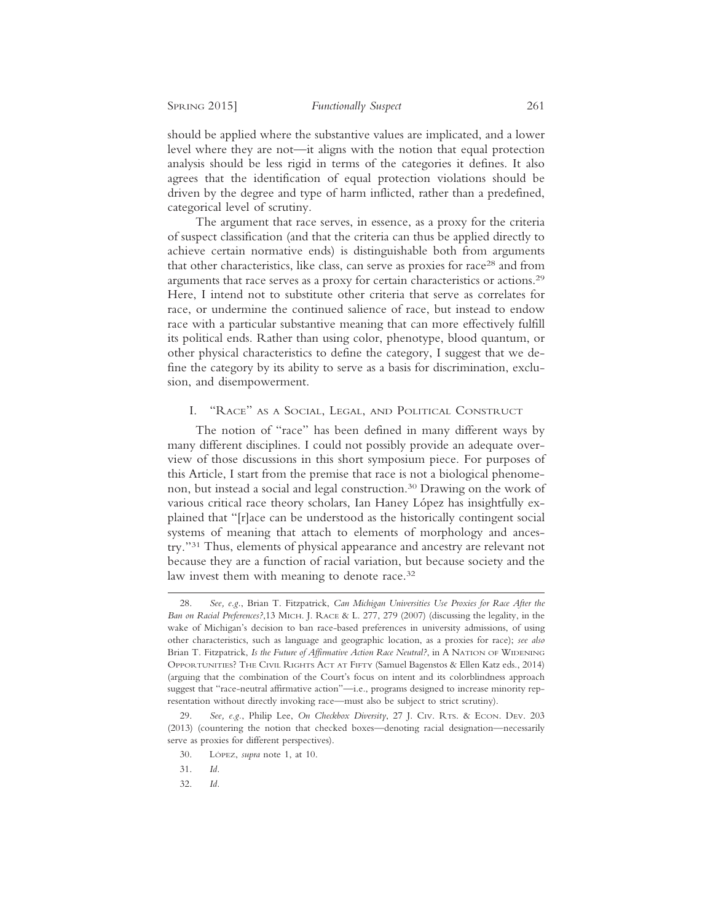should be applied where the substantive values are implicated, and a lower level where they are not—it aligns with the notion that equal protection analysis should be less rigid in terms of the categories it defines. It also agrees that the identification of equal protection violations should be driven by the degree and type of harm inflicted, rather than a predefined, categorical level of scrutiny.

The argument that race serves, in essence, as a proxy for the criteria of suspect classification (and that the criteria can thus be applied directly to achieve certain normative ends) is distinguishable both from arguments that other characteristics, like class, can serve as proxies for race<sup>28</sup> and from arguments that race serves as a proxy for certain characteristics or actions.29 Here, I intend not to substitute other criteria that serve as correlates for race, or undermine the continued salience of race, but instead to endow race with a particular substantive meaning that can more effectively fulfill its political ends. Rather than using color, phenotype, blood quantum, or other physical characteristics to define the category, I suggest that we define the category by its ability to serve as a basis for discrimination, exclusion, and disempowerment.

## I. "RACE" AS A SOCIAL, LEGAL, AND POLITICAL CONSTRUCT

The notion of "race" has been defined in many different ways by many different disciplines. I could not possibly provide an adequate overview of those discussions in this short symposium piece. For purposes of this Article, I start from the premise that race is not a biological phenomenon, but instead a social and legal construction.30 Drawing on the work of various critical race theory scholars, Ian Haney López has insightfully explained that "[r]ace can be understood as the historically contingent social systems of meaning that attach to elements of morphology and ancestry."31 Thus, elements of physical appearance and ancestry are relevant not because they are a function of racial variation, but because society and the law invest them with meaning to denote race.<sup>32</sup>

32. *Id.*

<sup>28.</sup> *See, e.g.*, Brian T. Fitzpatrick, *Can Michigan Universities Use Proxies for Race After the Ban on Racial Preferences?*,13 MICH. J. RACE & L. 277, 279 (2007) (discussing the legality, in the wake of Michigan's decision to ban race-based preferences in university admissions, of using other characteristics, such as language and geographic location, as a proxies for race); *see also* Brian T. Fitzpatrick, *Is the Future of Affirmative Action Race Neutral?*, in A NATION OF WIDENING OPPORTUNITIES? THE CIVIL RIGHTS ACT AT FIFTY (Samuel Bagenstos & Ellen Katz eds., 2014) (arguing that the combination of the Court's focus on intent and its colorblindness approach suggest that "race-neutral affirmative action"—i.e., programs designed to increase minority representation without directly invoking race—must also be subject to strict scrutiny).

<sup>29.</sup> *See, e.g.*, Philip Lee, *On Checkbox Diversity*, 27 J. CIV. RTS. & ECON. DEV. 203 (2013) (countering the notion that checked boxes—denoting racial designation—necessarily serve as proxies for different perspectives).

<sup>30.</sup> LÓPEZ, *supra* note 1, at 10.

<sup>31.</sup> *Id.*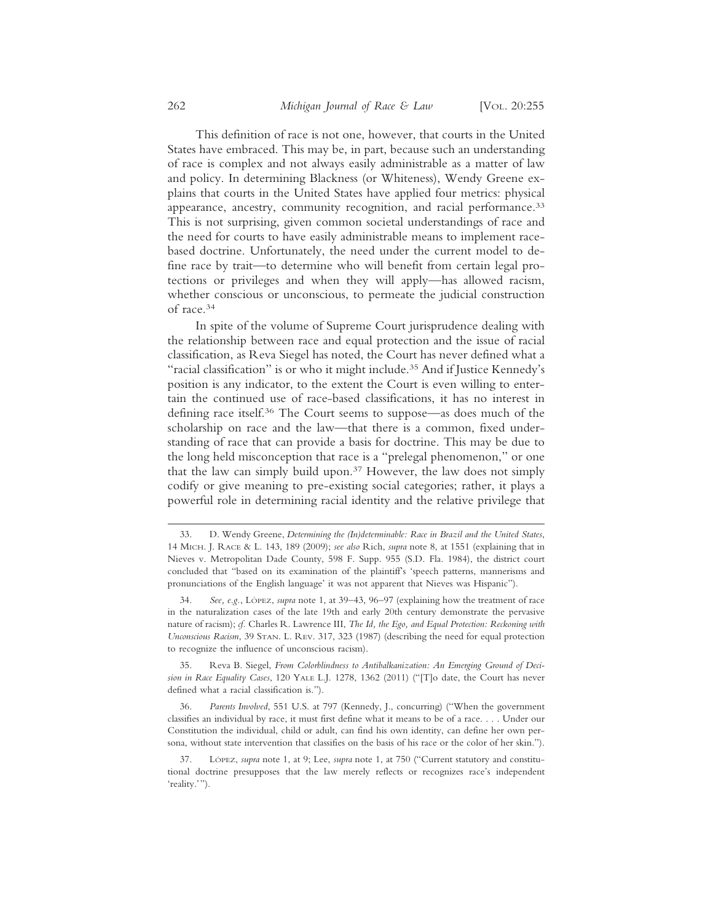This definition of race is not one, however, that courts in the United States have embraced. This may be, in part, because such an understanding of race is complex and not always easily administrable as a matter of law and policy. In determining Blackness (or Whiteness), Wendy Greene explains that courts in the United States have applied four metrics: physical appearance, ancestry, community recognition, and racial performance.<sup>33</sup> This is not surprising, given common societal understandings of race and the need for courts to have easily administrable means to implement racebased doctrine. Unfortunately, the need under the current model to define race by trait—to determine who will benefit from certain legal protections or privileges and when they will apply—has allowed racism, whether conscious or unconscious, to permeate the judicial construction of race.34

In spite of the volume of Supreme Court jurisprudence dealing with the relationship between race and equal protection and the issue of racial classification, as Reva Siegel has noted, the Court has never defined what a "racial classification" is or who it might include.35 And if Justice Kennedy's position is any indicator, to the extent the Court is even willing to entertain the continued use of race-based classifications, it has no interest in defining race itself.36 The Court seems to suppose—as does much of the scholarship on race and the law—that there is a common, fixed understanding of race that can provide a basis for doctrine. This may be due to the long held misconception that race is a "prelegal phenomenon," or one that the law can simply build upon.37 However, the law does not simply codify or give meaning to pre-existing social categories; rather, it plays a powerful role in determining racial identity and the relative privilege that

<sup>33.</sup> D. Wendy Greene, *Determining the (In)determinable: Race in Brazil and the United States*, 14 MICH. J. RACE & L. 143, 189 (2009); *see also* Rich, *supra* note 8, at 1551 (explaining that in Nieves v. Metropolitan Dade County, 598 F. Supp. 955 (S.D. Fla. 1984), the district court concluded that "based on its examination of the plaintiff's 'speech patterns, mannerisms and pronunciations of the English language' it was not apparent that Nieves was Hispanic").

<sup>34.</sup> See, e.g., LOPEZ, *supra* note 1, at 39-43, 96-97 (explaining how the treatment of race in the naturalization cases of the late 19th and early 20th century demonstrate the pervasive nature of racism); *cf.* Charles R. Lawrence III, *The Id, the Ego, and Equal Protection: Reckoning with Unconscious Racism*, 39 STAN. L. REV. 317, 323 (1987) (describing the need for equal protection to recognize the influence of unconscious racism).

<sup>35.</sup> Reva B. Siegel, *From Colorblindness to Antibalkanization: An Emerging Ground of Decision in Race Equality Cases*, 120 YALE L.J. 1278, 1362 (2011) ("[T]o date, the Court has never defined what a racial classification is.").

<sup>36.</sup> *Parents Involved*, 551 U.S. at 797 (Kennedy, J., concurring) ("When the government classifies an individual by race, it must first define what it means to be of a race. . . . Under our Constitution the individual, child or adult, can find his own identity, can define her own persona, without state intervention that classifies on the basis of his race or the color of her skin.").

LÓPEZ, *supra* note 1, at 9; Lee, *supra* note 1, at 750 ("Current statutory and constitutional doctrine presupposes that the law merely reflects or recognizes race's independent 'reality.'").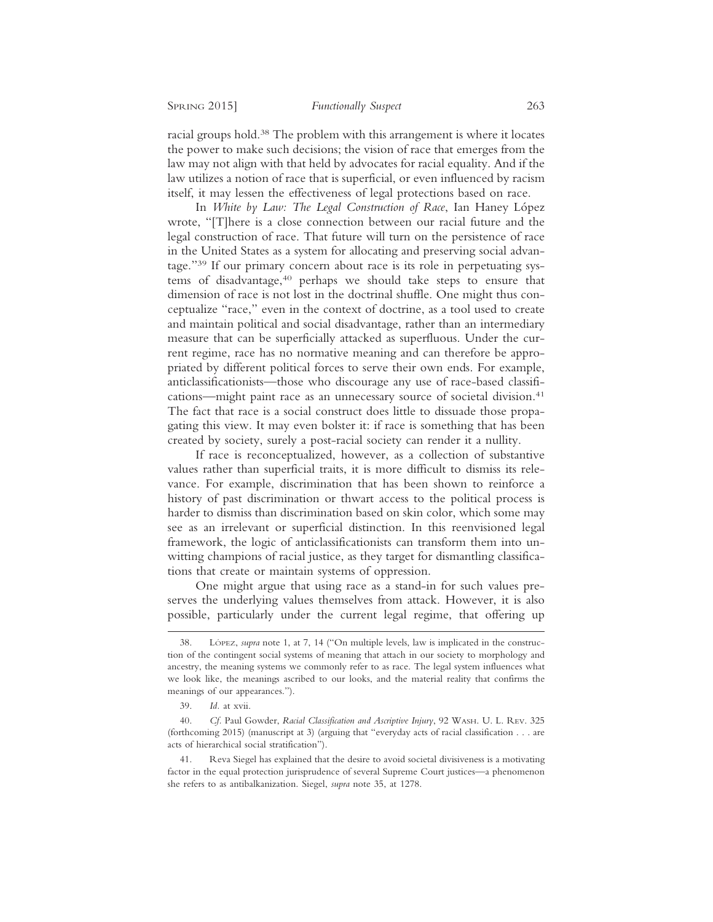racial groups hold.38 The problem with this arrangement is where it locates the power to make such decisions; the vision of race that emerges from the law may not align with that held by advocates for racial equality. And if the law utilizes a notion of race that is superficial, or even influenced by racism itself, it may lessen the effectiveness of legal protections based on race.

In *White by Law: The Legal Construction of Race*, Ian Haney López wrote, "[T]here is a close connection between our racial future and the legal construction of race. That future will turn on the persistence of race in the United States as a system for allocating and preserving social advantage."39 If our primary concern about race is its role in perpetuating systems of disadvantage,40 perhaps we should take steps to ensure that dimension of race is not lost in the doctrinal shuffle. One might thus conceptualize "race," even in the context of doctrine, as a tool used to create and maintain political and social disadvantage, rather than an intermediary measure that can be superficially attacked as superfluous. Under the current regime, race has no normative meaning and can therefore be appropriated by different political forces to serve their own ends. For example, anticlassificationists—those who discourage any use of race-based classifications—might paint race as an unnecessary source of societal division.41 The fact that race is a social construct does little to dissuade those propagating this view. It may even bolster it: if race is something that has been created by society, surely a post-racial society can render it a nullity.

If race is reconceptualized, however, as a collection of substantive values rather than superficial traits, it is more difficult to dismiss its relevance. For example, discrimination that has been shown to reinforce a history of past discrimination or thwart access to the political process is harder to dismiss than discrimination based on skin color, which some may see as an irrelevant or superficial distinction. In this reenvisioned legal framework, the logic of anticlassificationists can transform them into unwitting champions of racial justice, as they target for dismantling classifications that create or maintain systems of oppression.

One might argue that using race as a stand-in for such values preserves the underlying values themselves from attack. However, it is also possible, particularly under the current legal regime, that offering up

<sup>38.</sup> LÓPEZ, *supra* note 1, at 7, 14 ("On multiple levels, law is implicated in the construction of the contingent social systems of meaning that attach in our society to morphology and ancestry, the meaning systems we commonly refer to as race. The legal system influences what we look like, the meanings ascribed to our looks, and the material reality that confirms the meanings of our appearances.").

<sup>39.</sup> *Id.* at xvii.

<sup>40.</sup> *Cf.* Paul Gowder, *Racial Classification and Ascriptive Injury*, 92 WASH. U. L. REV. 325 (forthcoming 2015) (manuscript at 3) (arguing that "everyday acts of racial classification . . . are acts of hierarchical social stratification").

<sup>41.</sup> Reva Siegel has explained that the desire to avoid societal divisiveness is a motivating factor in the equal protection jurisprudence of several Supreme Court justices—a phenomenon she refers to as antibalkanization. Siegel, *supra* note 35, at 1278.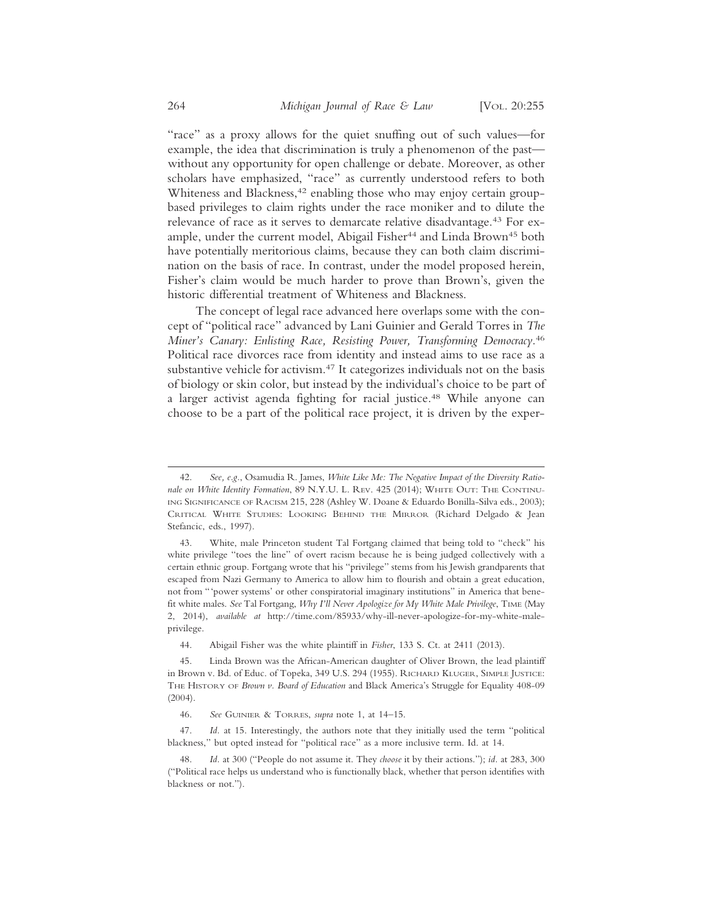"race" as a proxy allows for the quiet snuffing out of such values—for example, the idea that discrimination is truly a phenomenon of the past without any opportunity for open challenge or debate. Moreover, as other scholars have emphasized, "race" as currently understood refers to both Whiteness and Blackness,<sup>42</sup> enabling those who may enjoy certain groupbased privileges to claim rights under the race moniker and to dilute the relevance of race as it serves to demarcate relative disadvantage.43 For example, under the current model, Abigail Fisher<sup>44</sup> and Linda Brown<sup>45</sup> both have potentially meritorious claims, because they can both claim discrimination on the basis of race. In contrast, under the model proposed herein, Fisher's claim would be much harder to prove than Brown's, given the historic differential treatment of Whiteness and Blackness.

The concept of legal race advanced here overlaps some with the concept of "political race" advanced by Lani Guinier and Gerald Torres in *The Miner's Canary: Enlisting Race, Resisting Power, Transforming Democracy*. 46 Political race divorces race from identity and instead aims to use race as a substantive vehicle for activism.<sup>47</sup> It categorizes individuals not on the basis of biology or skin color, but instead by the individual's choice to be part of a larger activist agenda fighting for racial justice.48 While anyone can choose to be a part of the political race project, it is driven by the exper-

<sup>42.</sup> *See, e.g.*, Osamudia R. James, *White Like Me: The Negative Impact of the Diversity Rationale on White Identity Formation*, 89 N.Y.U. L. REV. 425 (2014); WHITE OUT: THE CONTINU-ING SIGNIFICANCE OF RACISM 215, 228 (Ashley W. Doane & Eduardo Bonilla-Silva eds., 2003); CRITICAL WHITE STUDIES: LOOKING BEHIND THE MIRROR (Richard Delgado & Jean Stefancic, eds., 1997).

<sup>43.</sup> White, male Princeton student Tal Fortgang claimed that being told to "check" his white privilege "toes the line" of overt racism because he is being judged collectively with a certain ethnic group. Fortgang wrote that his "privilege" stems from his Jewish grandparents that escaped from Nazi Germany to America to allow him to flourish and obtain a great education, not from "'power systems' or other conspiratorial imaginary institutions" in America that benefit white males. *See* Tal Fortgang, *Why I'll Never Apologize for My White Male Privilege*, TIME (May 2, 2014), *available at* http://time.com/85933/why-ill-never-apologize-for-my-white-maleprivilege.

<sup>44.</sup> Abigail Fisher was the white plaintiff in *Fisher*, 133 S. Ct. at 2411 (2013).

<sup>45.</sup> Linda Brown was the African-American daughter of Oliver Brown, the lead plaintiff in Brown v. Bd. of Educ. of Topeka, 349 U.S. 294 (1955). RICHARD KLUGER, SIMPLE JUSTICE: THE HISTORY OF *Brown v. Board of Education* and Black America's Struggle for Equality 408-09 (2004).

<sup>46.</sup> *See* GUINIER & TORRES, *supra* note 1, at 14–15.

<sup>47.</sup> *Id.* at 15. Interestingly, the authors note that they initially used the term "political blackness," but opted instead for "political race" as a more inclusive term. Id. at 14.

<sup>48.</sup> *Id.* at 300 ("People do not assume it. They *choose* it by their actions."); *id.* at 283, 300 ("Political race helps us understand who is functionally black, whether that person identifies with blackness or not.").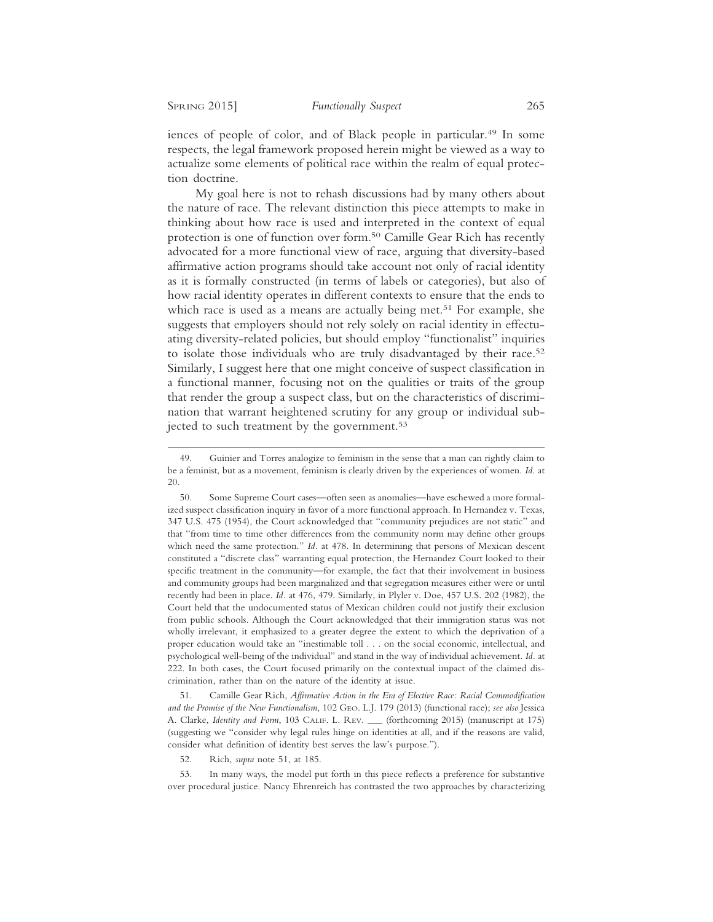iences of people of color, and of Black people in particular.<sup>49</sup> In some respects, the legal framework proposed herein might be viewed as a way to actualize some elements of political race within the realm of equal protection doctrine.

My goal here is not to rehash discussions had by many others about the nature of race. The relevant distinction this piece attempts to make in thinking about how race is used and interpreted in the context of equal protection is one of function over form.50 Camille Gear Rich has recently advocated for a more functional view of race, arguing that diversity-based affirmative action programs should take account not only of racial identity as it is formally constructed (in terms of labels or categories), but also of how racial identity operates in different contexts to ensure that the ends to which race is used as a means are actually being met.<sup>51</sup> For example, she suggests that employers should not rely solely on racial identity in effectuating diversity-related policies, but should employ "functionalist" inquiries to isolate those individuals who are truly disadvantaged by their race.52 Similarly, I suggest here that one might conceive of suspect classification in a functional manner, focusing not on the qualities or traits of the group that render the group a suspect class, but on the characteristics of discrimination that warrant heightened scrutiny for any group or individual subjected to such treatment by the government.<sup>53</sup>

51. Camille Gear Rich, *Affirmative Action in the Era of Elective Race: Racial Commodification and the Promise of the New Functionalism*, 102 GEO. L.J. 179 (2013) (functional race); *see also* Jessica A. Clarke, *Identity and Form*, 103 CALIF. L. REV. \_\_\_ (forthcoming 2015) (manuscript at 175) (suggesting we "consider why legal rules hinge on identities at all, and if the reasons are valid, consider what definition of identity best serves the law's purpose.").

52. Rich, *supra* note 51, at 185.

53. In many ways, the model put forth in this piece reflects a preference for substantive over procedural justice. Nancy Ehrenreich has contrasted the two approaches by characterizing

<sup>49.</sup> Guinier and Torres analogize to feminism in the sense that a man can rightly claim to be a feminist, but as a movement, feminism is clearly driven by the experiences of women. *Id.* at 20.

<sup>50.</sup> Some Supreme Court cases—often seen as anomalies—have eschewed a more formalized suspect classification inquiry in favor of a more functional approach. In Hernandez v. Texas, 347 U.S. 475 (1954), the Court acknowledged that "community prejudices are not static" and that "from time to time other differences from the community norm may define other groups which need the same protection." *Id.* at 478. In determining that persons of Mexican descent constituted a "discrete class" warranting equal protection, the Hernandez Court looked to their specific treatment in the community—for example, the fact that their involvement in business and community groups had been marginalized and that segregation measures either were or until recently had been in place. *Id.* at 476, 479. Similarly, in Plyler v. Doe, 457 U.S. 202 (1982), the Court held that the undocumented status of Mexican children could not justify their exclusion from public schools. Although the Court acknowledged that their immigration status was not wholly irrelevant, it emphasized to a greater degree the extent to which the deprivation of a proper education would take an "inestimable toll . . . on the social economic, intellectual, and psychological well-being of the individual" and stand in the way of individual achievement. *Id.* at 222. In both cases, the Court focused primarily on the contextual impact of the claimed discrimination, rather than on the nature of the identity at issue.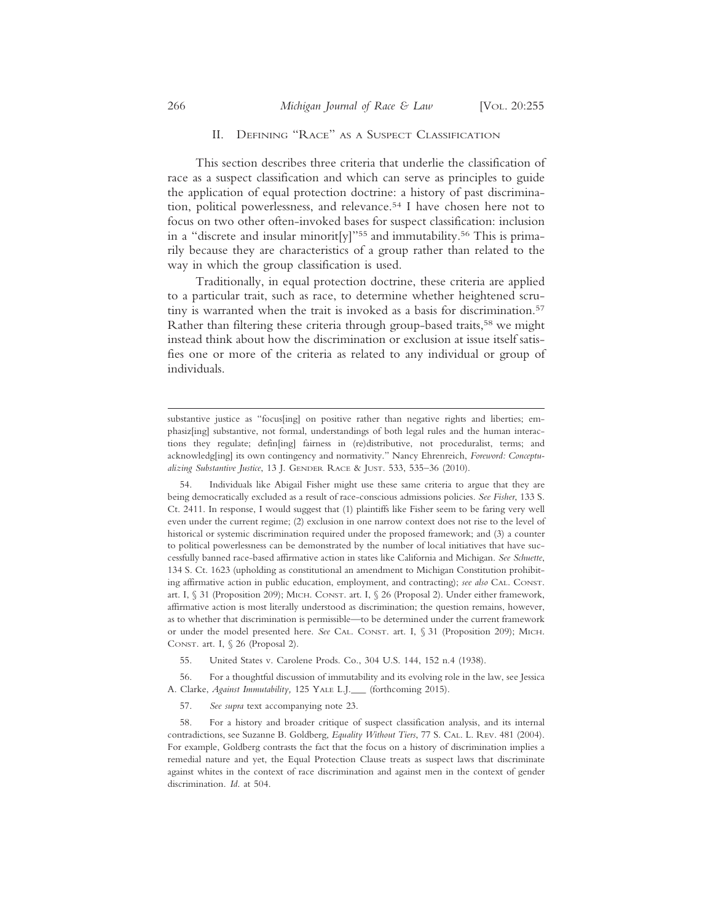## II. DEFINING "RACE" AS A SUSPECT CLASSIFICATION

This section describes three criteria that underlie the classification of race as a suspect classification and which can serve as principles to guide the application of equal protection doctrine: a history of past discrimination, political powerlessness, and relevance.54 I have chosen here not to focus on two other often-invoked bases for suspect classification: inclusion in a "discrete and insular minorit[y]"55 and immutability.56 This is primarily because they are characteristics of a group rather than related to the way in which the group classification is used.

Traditionally, in equal protection doctrine, these criteria are applied to a particular trait, such as race, to determine whether heightened scrutiny is warranted when the trait is invoked as a basis for discrimination.57 Rather than filtering these criteria through group-based traits,<sup>58</sup> we might instead think about how the discrimination or exclusion at issue itself satisfies one or more of the criteria as related to any individual or group of individuals.

56. For a thoughtful discussion of immutability and its evolving role in the law, see Jessica A. Clarke, *Against Immutability,* 125 YALE L.J*.*\_\_\_ (forthcoming 2015).

57. *See supra* text accompanying note 23.

substantive justice as "focus[ing] on positive rather than negative rights and liberties; emphasiz[ing] substantive, not formal, understandings of both legal rules and the human interactions they regulate; defin[ing] fairness in (re)distributive, not proceduralist, terms; and acknowledg[ing] its own contingency and normativity." Nancy Ehrenreich, *Foreword: Conceptualizing Substantive Justice*, 13 J. GENDER RACE & JUST. 533, 535–36 (2010).

<sup>54.</sup> Individuals like Abigail Fisher might use these same criteria to argue that they are being democratically excluded as a result of race-conscious admissions policies. *See Fisher*, 133 S. Ct. 2411. In response, I would suggest that (1) plaintiffs like Fisher seem to be faring very well even under the current regime; (2) exclusion in one narrow context does not rise to the level of historical or systemic discrimination required under the proposed framework; and (3) a counter to political powerlessness can be demonstrated by the number of local initiatives that have successfully banned race-based affirmative action in states like California and Michigan. *See Schuette*, 134 S. Ct. 1623 (upholding as constitutional an amendment to Michigan Constitution prohibiting affirmative action in public education, employment, and contracting); *see also* CAL. CONST. art. I, § 31 (Proposition 209); MICH. CONST. art. I, § 26 (Proposal 2). Under either framework, affirmative action is most literally understood as discrimination; the question remains, however, as to whether that discrimination is permissible—to be determined under the current framework or under the model presented here. *See* CAL. CONST. art. I, § 31 (Proposition 209); MICH. CONST. art. I, § 26 (Proposal 2).

<sup>55.</sup> United States v. Carolene Prods. Co., 304 U.S. 144, 152 n.4 (1938).

<sup>58.</sup> For a history and broader critique of suspect classification analysis, and its internal contradictions, see Suzanne B. Goldberg, *Equality Without Tiers*, 77 S. CAL. L. REV. 481 (2004). For example, Goldberg contrasts the fact that the focus on a history of discrimination implies a remedial nature and yet, the Equal Protection Clause treats as suspect laws that discriminate against whites in the context of race discrimination and against men in the context of gender discrimination. *Id*. at 504.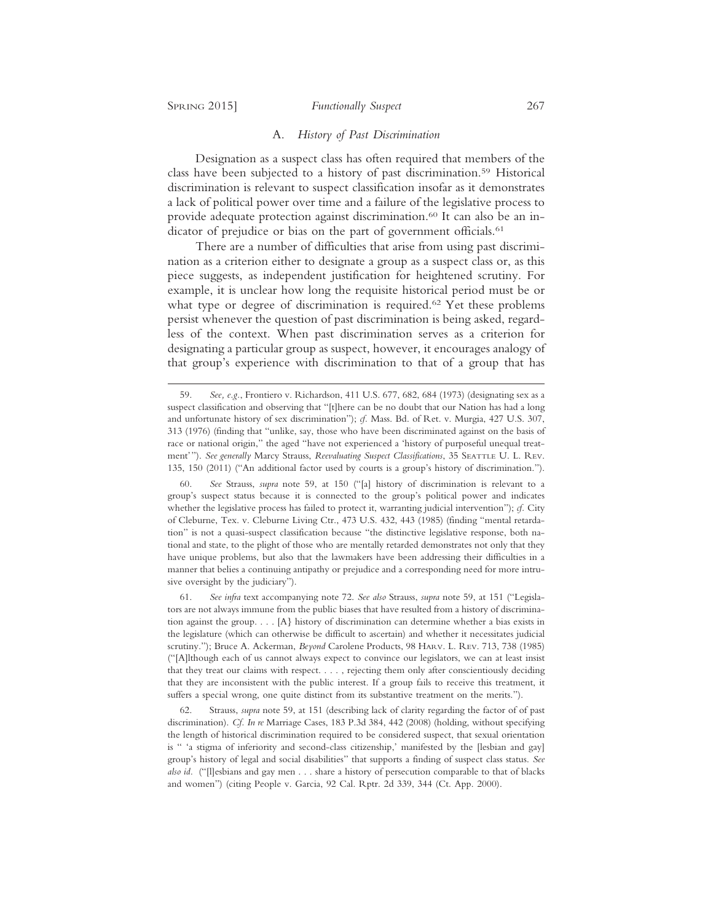#### SPRING 2015] *Functionally Suspect* 267

#### A. *History of Past Discrimination*

Designation as a suspect class has often required that members of the class have been subjected to a history of past discrimination.59 Historical discrimination is relevant to suspect classification insofar as it demonstrates a lack of political power over time and a failure of the legislative process to provide adequate protection against discrimination.<sup>60</sup> It can also be an indicator of prejudice or bias on the part of government officials.<sup>61</sup>

There are a number of difficulties that arise from using past discrimination as a criterion either to designate a group as a suspect class or, as this piece suggests, as independent justification for heightened scrutiny. For example, it is unclear how long the requisite historical period must be or what type or degree of discrimination is required.<sup>62</sup> Yet these problems persist whenever the question of past discrimination is being asked, regardless of the context. When past discrimination serves as a criterion for designating a particular group as suspect, however, it encourages analogy of that group's experience with discrimination to that of a group that has

60. *See* Strauss, *supra* note 59, at 150 ("[a] history of discrimination is relevant to a group's suspect status because it is connected to the group's political power and indicates whether the legislative process has failed to protect it, warranting judicial intervention"); *cf.* City of Cleburne, Tex. v. Cleburne Living Ctr., 473 U.S. 432, 443 (1985) (finding "mental retardation" is not a quasi-suspect classification because "the distinctive legislative response, both national and state, to the plight of those who are mentally retarded demonstrates not only that they have unique problems, but also that the lawmakers have been addressing their difficulties in a manner that belies a continuing antipathy or prejudice and a corresponding need for more intrusive oversight by the judiciary").

61. *See infra* text accompanying note 72. *See also* Strauss, *supra* note 59, at 151 ("Legislators are not always immune from the public biases that have resulted from a history of discrimination against the group. . . . [A} history of discrimination can determine whether a bias exists in the legislature (which can otherwise be difficult to ascertain) and whether it necessitates judicial scrutiny."); Bruce A. Ackerman, *Beyond* Carolene Products, 98 HARV. L. REV. 713, 738 (1985) ("[A]lthough each of us cannot always expect to convince our legislators, we can at least insist that they treat our claims with respect. . . . , rejecting them only after conscientiously deciding that they are inconsistent with the public interest. If a group fails to receive this treatment, it suffers a special wrong, one quite distinct from its substantive treatment on the merits.").

62. Strauss, *supra* note 59, at 151 (describing lack of clarity regarding the factor of of past discrimination). *Cf. In re* Marriage Cases, 183 P.3d 384, 442 (2008) (holding, without specifying the length of historical discrimination required to be considered suspect, that sexual orientation is " 'a stigma of inferiority and second-class citizenship,' manifested by the [lesbian and gay] group's history of legal and social disabilities" that supports a finding of suspect class status. *See also id.* ("[l]esbians and gay men . . . share a history of persecution comparable to that of blacks and women") (citing People v. Garcia, 92 Cal. Rptr. 2d 339, 344 (Ct. App. 2000).

<sup>59.</sup> *See, e.g.*, Frontiero v. Richardson, 411 U.S. 677, 682, 684 (1973) (designating sex as a suspect classification and observing that "[t]here can be no doubt that our Nation has had a long and unfortunate history of sex discrimination"); *cf.* Mass. Bd. of Ret. v. Murgia, 427 U.S. 307, 313 (1976) (finding that "unlike, say, those who have been discriminated against on the basis of race or national origin," the aged "have not experienced a 'history of purposeful unequal treatment'"). *See generally* Marcy Strauss, *Reevaluating Suspect Classifications*, 35 SEATTLE U. L. REV. 135, 150 (2011) ("An additional factor used by courts is a group's history of discrimination.").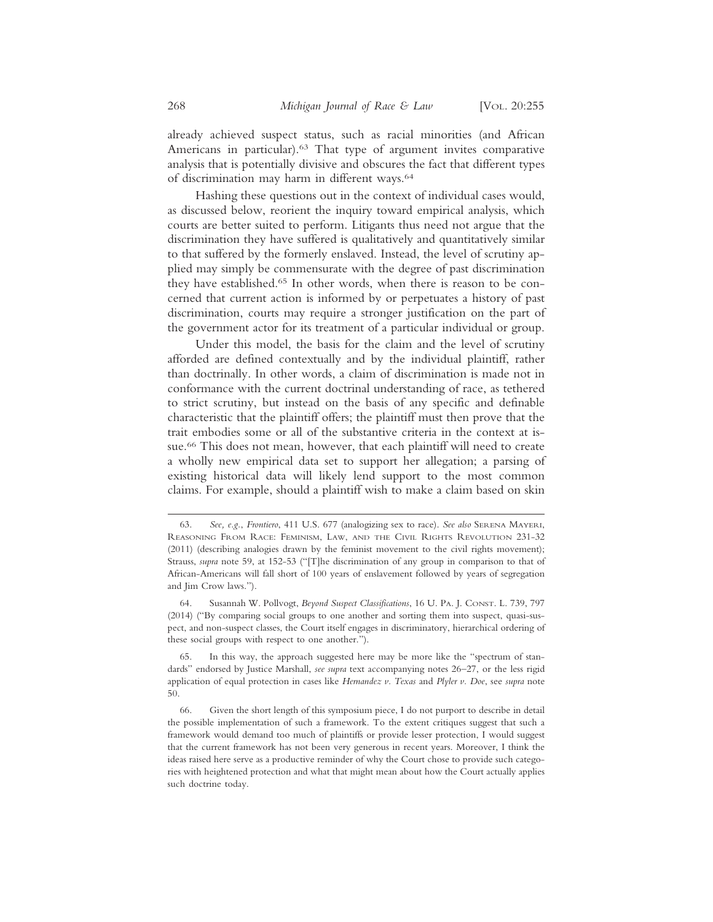already achieved suspect status, such as racial minorities (and African Americans in particular).<sup>63</sup> That type of argument invites comparative analysis that is potentially divisive and obscures the fact that different types of discrimination may harm in different ways.64

Hashing these questions out in the context of individual cases would, as discussed below, reorient the inquiry toward empirical analysis, which courts are better suited to perform. Litigants thus need not argue that the discrimination they have suffered is qualitatively and quantitatively similar to that suffered by the formerly enslaved. Instead, the level of scrutiny applied may simply be commensurate with the degree of past discrimination they have established.<sup>65</sup> In other words, when there is reason to be concerned that current action is informed by or perpetuates a history of past discrimination, courts may require a stronger justification on the part of the government actor for its treatment of a particular individual or group.

Under this model, the basis for the claim and the level of scrutiny afforded are defined contextually and by the individual plaintiff, rather than doctrinally. In other words, a claim of discrimination is made not in conformance with the current doctrinal understanding of race, as tethered to strict scrutiny, but instead on the basis of any specific and definable characteristic that the plaintiff offers; the plaintiff must then prove that the trait embodies some or all of the substantive criteria in the context at issue.<sup>66</sup> This does not mean, however, that each plaintiff will need to create a wholly new empirical data set to support her allegation; a parsing of existing historical data will likely lend support to the most common claims. For example, should a plaintiff wish to make a claim based on skin

In this way, the approach suggested here may be more like the "spectrum of standards" endorsed by Justice Marshall, *see supra* text accompanying notes 26–27, or the less rigid application of equal protection in cases like *Hernandez v. Texas* and *Plyler v. Doe*, see *supra* note 50.

<sup>63.</sup> *See, e.g.*, *Frontiero*, 411 U.S. 677 (analogizing sex to race). *See also* SERENA MAYERI, REASONING FROM RACE: FEMINISM, LAW, AND THE CIVIL RIGHTS REVOLUTION 231-32 (2011) (describing analogies drawn by the feminist movement to the civil rights movement); Strauss, *supra* note 59, at 152-53 ("[T]he discrimination of any group in comparison to that of African-Americans will fall short of 100 years of enslavement followed by years of segregation and Jim Crow laws.").

<sup>64.</sup> Susannah W. Pollvogt, *Beyond Suspect Classifications*, 16 U. PA. J. CONST. L. 739, 797 (2014) ("By comparing social groups to one another and sorting them into suspect, quasi-suspect, and non-suspect classes, the Court itself engages in discriminatory, hierarchical ordering of these social groups with respect to one another.").

<sup>66.</sup> Given the short length of this symposium piece, I do not purport to describe in detail the possible implementation of such a framework. To the extent critiques suggest that such a framework would demand too much of plaintiffs or provide lesser protection, I would suggest that the current framework has not been very generous in recent years. Moreover, I think the ideas raised here serve as a productive reminder of why the Court chose to provide such categories with heightened protection and what that might mean about how the Court actually applies such doctrine today.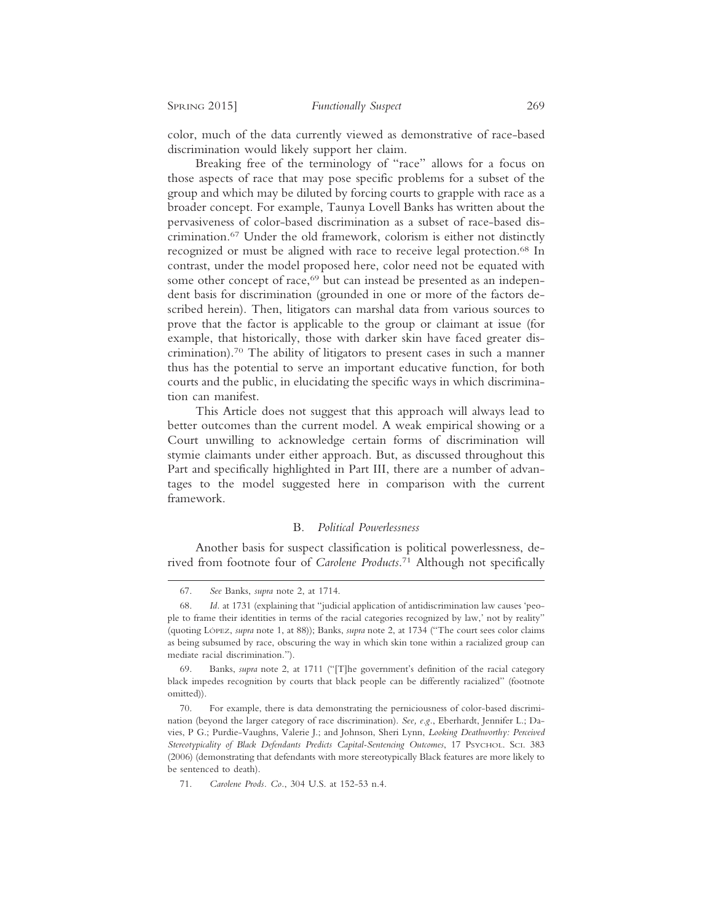color, much of the data currently viewed as demonstrative of race-based discrimination would likely support her claim.

Breaking free of the terminology of "race" allows for a focus on those aspects of race that may pose specific problems for a subset of the group and which may be diluted by forcing courts to grapple with race as a broader concept. For example, Taunya Lovell Banks has written about the pervasiveness of color-based discrimination as a subset of race-based discrimination.67 Under the old framework, colorism is either not distinctly recognized or must be aligned with race to receive legal protection.68 In contrast, under the model proposed here, color need not be equated with some other concept of race,<sup>69</sup> but can instead be presented as an independent basis for discrimination (grounded in one or more of the factors described herein). Then, litigators can marshal data from various sources to prove that the factor is applicable to the group or claimant at issue (for example, that historically, those with darker skin have faced greater discrimination).70 The ability of litigators to present cases in such a manner thus has the potential to serve an important educative function, for both courts and the public, in elucidating the specific ways in which discrimination can manifest.

This Article does not suggest that this approach will always lead to better outcomes than the current model. A weak empirical showing or a Court unwilling to acknowledge certain forms of discrimination will stymie claimants under either approach. But, as discussed throughout this Part and specifically highlighted in Part III, there are a number of advantages to the model suggested here in comparison with the current framework.

## B. *Political Powerlessness*

Another basis for suspect classification is political powerlessness, derived from footnote four of *Carolene Products*. 71 Although not specifically

<sup>67.</sup> *See* Banks, *supra* note 2, at 1714.

<sup>68.</sup> *Id.* at 1731 (explaining that "judicial application of antidiscrimination law causes 'people to frame their identities in terms of the racial categories recognized by law,' not by reality" (quoting LÓPEZ, *supra* note 1, at 88)); Banks, *supra* note 2, at 1734 ("The court sees color claims as being subsumed by race, obscuring the way in which skin tone within a racialized group can mediate racial discrimination.").

Banks, *supra* note 2, at 1711 ("[T]he government's definition of the racial category black impedes recognition by courts that black people can be differently racialized" (footnote omitted)).

<sup>70.</sup> For example, there is data demonstrating the perniciousness of color-based discrimination (beyond the larger category of race discrimination). *See, e.g.*, Eberhardt, Jennifer L.; Davies, P G.; Purdie-Vaughns, Valerie J.; and Johnson, Sheri Lynn, *Looking Deathworthy: Perceived Stereotypicality of Black Defendants Predicts Capital-Sentencing Outcomes*, 17 PSYCHOL. SCI. 383 (2006) (demonstrating that defendants with more stereotypically Black features are more likely to be sentenced to death).

<sup>71.</sup> *Carolene Prods. Co.*, 304 U.S. at 152-53 n.4.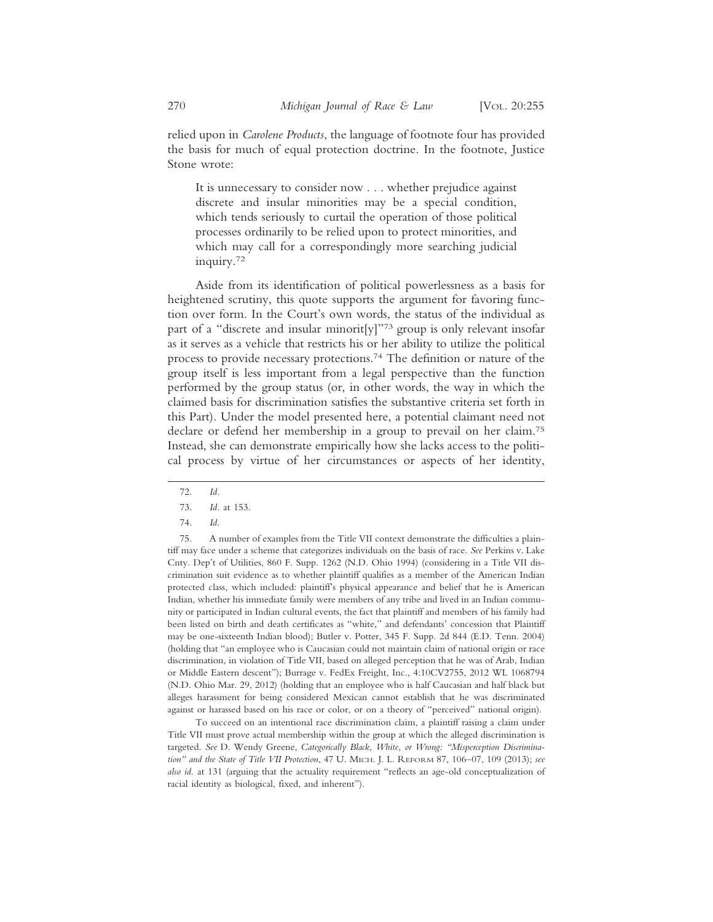relied upon in *Carolene Products*, the language of footnote four has provided the basis for much of equal protection doctrine. In the footnote, Justice Stone wrote:

It is unnecessary to consider now . . . whether prejudice against discrete and insular minorities may be a special condition, which tends seriously to curtail the operation of those political processes ordinarily to be relied upon to protect minorities, and which may call for a correspondingly more searching judicial inquiry.72

Aside from its identification of political powerlessness as a basis for heightened scrutiny, this quote supports the argument for favoring function over form. In the Court's own words, the status of the individual as part of a "discrete and insular minorit[y]"73 group is only relevant insofar as it serves as a vehicle that restricts his or her ability to utilize the political process to provide necessary protections.74 The definition or nature of the group itself is less important from a legal perspective than the function performed by the group status (or, in other words, the way in which the claimed basis for discrimination satisfies the substantive criteria set forth in this Part). Under the model presented here, a potential claimant need not declare or defend her membership in a group to prevail on her claim.75 Instead, she can demonstrate empirically how she lacks access to the political process by virtue of her circumstances or aspects of her identity,

To succeed on an intentional race discrimination claim, a plaintiff raising a claim under Title VII must prove actual membership within the group at which the alleged discrimination is targeted. *See* D. Wendy Greene, *Categorically Black, White, or Wrong: "Misperception Discrimination" and the State of Title VII Protection*, 47 U. MICH. J. L. REFORM 87, 106–07, 109 (2013); *see also id.* at 131 (arguing that the actuality requirement "reflects an age-old conceptualization of racial identity as biological, fixed, and inherent").

<sup>72.</sup> *Id.*

<sup>73.</sup> *Id.* at 153.

<sup>74.</sup> *Id.*

<sup>75.</sup> A number of examples from the Title VII context demonstrate the difficulties a plaintiff may face under a scheme that categorizes individuals on the basis of race. *See* Perkins v. Lake Cnty. Dep't of Utilities, 860 F. Supp. 1262 (N.D. Ohio 1994) (considering in a Title VII discrimination suit evidence as to whether plaintiff qualifies as a member of the American Indian protected class, which included: plaintiff's physical appearance and belief that he is American Indian, whether his immediate family were members of any tribe and lived in an Indian community or participated in Indian cultural events, the fact that plaintiff and members of his family had been listed on birth and death certificates as "white," and defendants' concession that Plaintiff may be one-sixteenth Indian blood); Butler v. Potter, 345 F. Supp. 2d 844 (E.D. Tenn. 2004) (holding that "an employee who is Caucasian could not maintain claim of national origin or race discrimination, in violation of Title VII, based on alleged perception that he was of Arab, Indian or Middle Eastern descent"); Burrage v. FedEx Freight, Inc., 4:10CV2755, 2012 WL 1068794 (N.D. Ohio Mar. 29, 2012) (holding that an employee who is half Caucasian and half black but alleges harassment for being considered Mexican cannot establish that he was discriminated against or harassed based on his race or color, or on a theory of "perceived" national origin).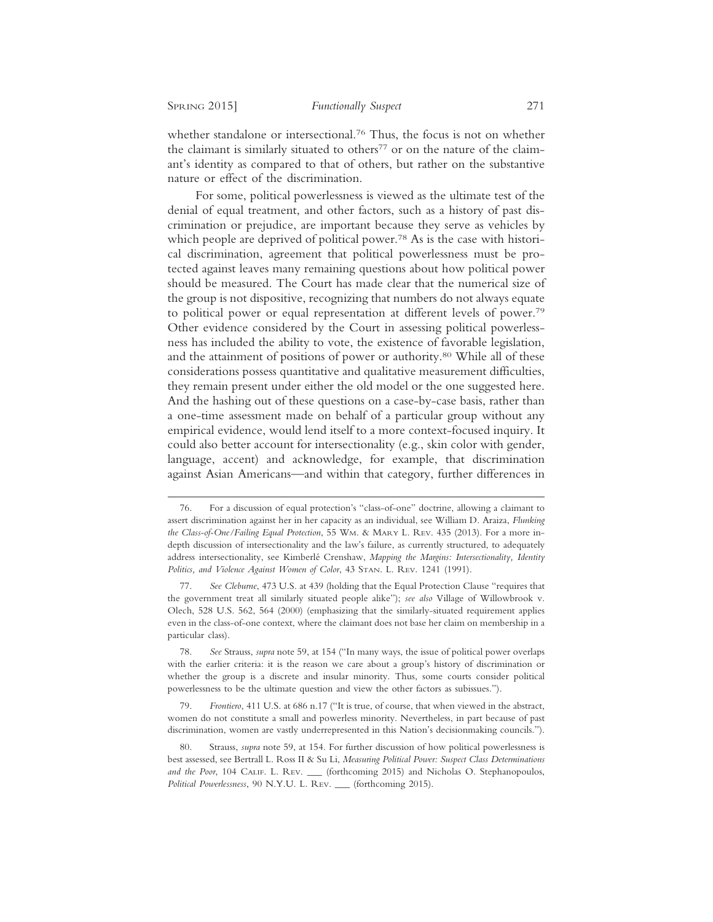whether standalone or intersectional.<sup>76</sup> Thus, the focus is not on whether the claimant is similarly situated to others<sup>77</sup> or on the nature of the claimant's identity as compared to that of others, but rather on the substantive nature or effect of the discrimination.

For some, political powerlessness is viewed as the ultimate test of the denial of equal treatment, and other factors, such as a history of past discrimination or prejudice, are important because they serve as vehicles by which people are deprived of political power.<sup>78</sup> As is the case with historical discrimination, agreement that political powerlessness must be protected against leaves many remaining questions about how political power should be measured. The Court has made clear that the numerical size of the group is not dispositive, recognizing that numbers do not always equate to political power or equal representation at different levels of power.79 Other evidence considered by the Court in assessing political powerlessness has included the ability to vote, the existence of favorable legislation, and the attainment of positions of power or authority.80 While all of these considerations possess quantitative and qualitative measurement difficulties, they remain present under either the old model or the one suggested here. And the hashing out of these questions on a case-by-case basis, rather than a one-time assessment made on behalf of a particular group without any empirical evidence, would lend itself to a more context-focused inquiry. It could also better account for intersectionality (e.g., skin color with gender, language, accent) and acknowledge, for example, that discrimination against Asian Americans—and within that category, further differences in

<sup>76.</sup> For a discussion of equal protection's "class-of-one" doctrine, allowing a claimant to assert discrimination against her in her capacity as an individual, see William D. Araiza, *Flunking the Class-of-One/Failing Equal Protection*, 55 WM. & MARY L. REV. 435 (2013). For a more indepth discussion of intersectionality and the law's failure, as currently structured, to adequately address intersectionality, see Kimberlé Crenshaw, *Mapping the Margins: Intersectionality*, *Identity Politics, and Violence Against Women of Color*, 43 STAN. L. REV. 1241 (1991).

<sup>77.</sup> *See Cleburne*, 473 U.S. at 439 (holding that the Equal Protection Clause "requires that the government treat all similarly situated people alike"); *see also* Village of Willowbrook v. Olech, 528 U.S. 562, 564 (2000) (emphasizing that the similarly-situated requirement applies even in the class-of-one context, where the claimant does not base her claim on membership in a particular class).

<sup>78.</sup> *See* Strauss, *supra* note 59, at 154 ("In many ways, the issue of political power overlaps with the earlier criteria: it is the reason we care about a group's history of discrimination or whether the group is a discrete and insular minority. Thus, some courts consider political powerlessness to be the ultimate question and view the other factors as subissues.").

<sup>79.</sup> *Frontiero*, 411 U.S. at 686 n.17 ("It is true, of course, that when viewed in the abstract, women do not constitute a small and powerless minority. Nevertheless, in part because of past discrimination, women are vastly underrepresented in this Nation's decisionmaking councils.").

Strauss, *supra* note 59, at 154. For further discussion of how political powerlessness is best assessed, see Bertrall L. Ross II & Su Li, *Measuring Political Power: Suspect Class Determinations and the Poor*, 104 CALIF. L. REV. (forthcoming 2015) and Nicholas O. Stephanopoulos, *Political Powerlessness*, 90 N.Y.U. L. REV. \_\_\_ (forthcoming 2015).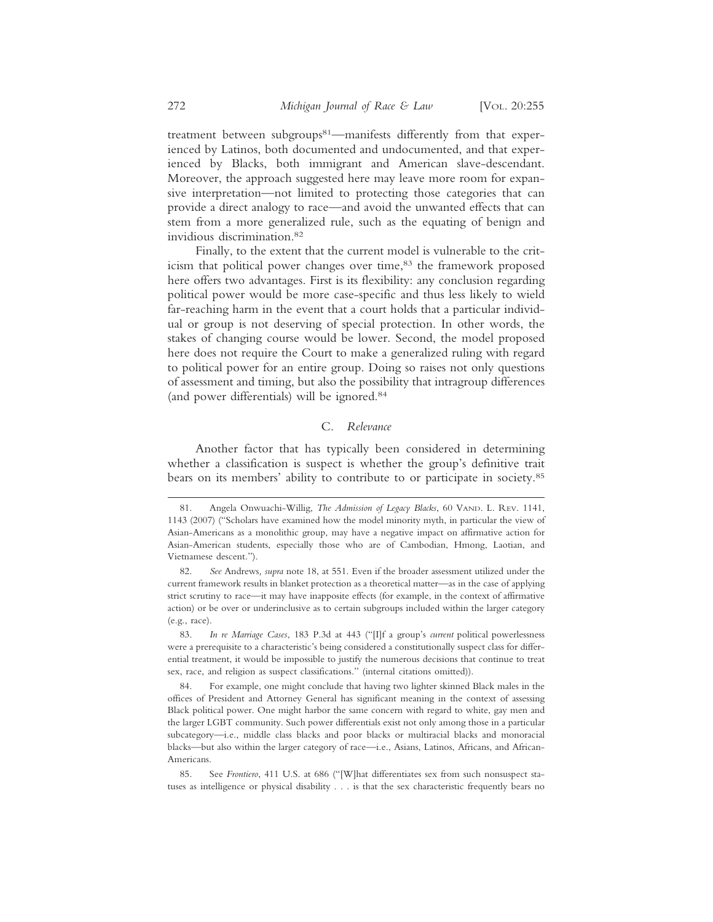treatment between subgroups<sup>81</sup>—manifests differently from that experienced by Latinos, both documented and undocumented, and that experienced by Blacks, both immigrant and American slave-descendant. Moreover, the approach suggested here may leave more room for expansive interpretation—not limited to protecting those categories that can provide a direct analogy to race—and avoid the unwanted effects that can stem from a more generalized rule, such as the equating of benign and invidious discrimination.82

Finally, to the extent that the current model is vulnerable to the criticism that political power changes over time,<sup>83</sup> the framework proposed here offers two advantages. First is its flexibility: any conclusion regarding political power would be more case-specific and thus less likely to wield far-reaching harm in the event that a court holds that a particular individual or group is not deserving of special protection. In other words, the stakes of changing course would be lower. Second, the model proposed here does not require the Court to make a generalized ruling with regard to political power for an entire group. Doing so raises not only questions of assessment and timing, but also the possibility that intragroup differences (and power differentials) will be ignored.84

#### C. *Relevance*

Another factor that has typically been considered in determining whether a classification is suspect is whether the group's definitive trait bears on its members' ability to contribute to or participate in society.<sup>85</sup>

<sup>81.</sup> Angela Onwuachi-Willig, *The Admission of Legacy Blacks*, 60 VAND. L. REV. 1141, 1143 (2007) ("Scholars have examined how the model minority myth, in particular the view of Asian-Americans as a monolithic group, may have a negative impact on affirmative action for Asian-American students, especially those who are of Cambodian, Hmong, Laotian, and Vietnamese descent.").

<sup>82.</sup> *See* Andrews*, supra* note 18, at 551. Even if the broader assessment utilized under the current framework results in blanket protection as a theoretical matter—as in the case of applying strict scrutiny to race—it may have inapposite effects (for example, in the context of affirmative action) or be over or underinclusive as to certain subgroups included within the larger category (e.g., race).

<sup>83.</sup> *In re Marriage Cases*, 183 P.3d at 443 ("[I]f a group's *current* political powerlessness were a prerequisite to a characteristic's being considered a constitutionally suspect class for differential treatment, it would be impossible to justify the numerous decisions that continue to treat sex, race, and religion as suspect classifications." (internal citations omitted)).

<sup>84.</sup> For example, one might conclude that having two lighter skinned Black males in the offices of President and Attorney General has significant meaning in the context of assessing Black political power. One might harbor the same concern with regard to white, gay men and the larger LGBT community. Such power differentials exist not only among those in a particular subcategory—i.e., middle class blacks and poor blacks or multiracial blacks and monoracial blacks—but also within the larger category of race—i.e., Asians, Latinos, Africans, and African-Americans.

<sup>85.</sup> See *Frontiero*, 411 U.S. at 686 ("[W]hat differentiates sex from such nonsuspect statuses as intelligence or physical disability . . . is that the sex characteristic frequently bears no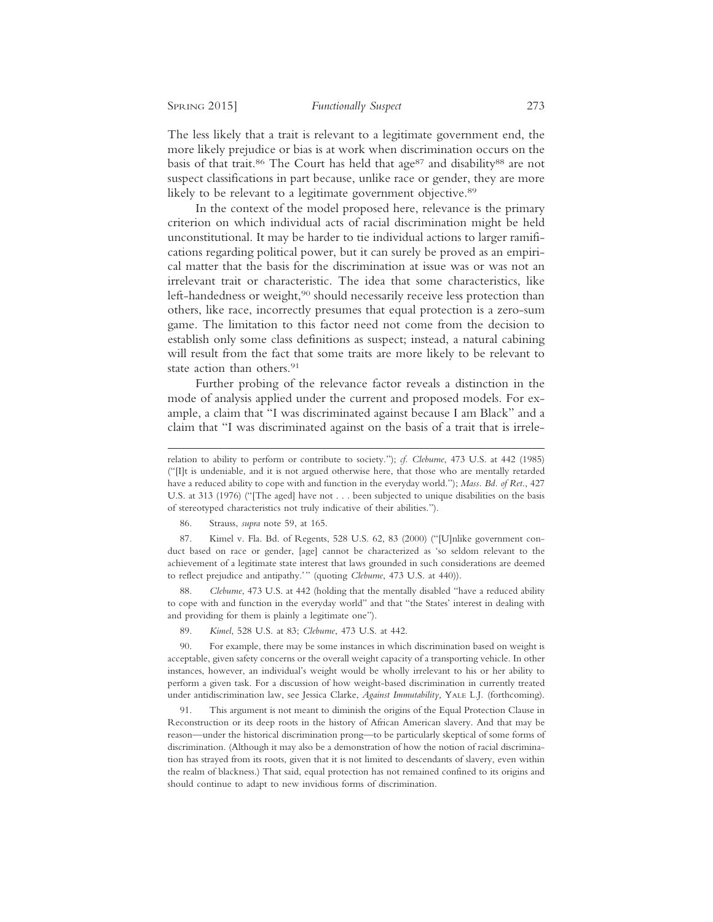The less likely that a trait is relevant to a legitimate government end, the more likely prejudice or bias is at work when discrimination occurs on the basis of that trait.<sup>86</sup> The Court has held that age<sup>87</sup> and disability<sup>88</sup> are not suspect classifications in part because, unlike race or gender, they are more likely to be relevant to a legitimate government objective.<sup>89</sup>

In the context of the model proposed here, relevance is the primary criterion on which individual acts of racial discrimination might be held unconstitutional. It may be harder to tie individual actions to larger ramifications regarding political power, but it can surely be proved as an empirical matter that the basis for the discrimination at issue was or was not an irrelevant trait or characteristic. The idea that some characteristics, like left-handedness or weight,<sup>90</sup> should necessarily receive less protection than others, like race, incorrectly presumes that equal protection is a zero-sum game. The limitation to this factor need not come from the decision to establish only some class definitions as suspect; instead, a natural cabining will result from the fact that some traits are more likely to be relevant to state action than others.<sup>91</sup>

Further probing of the relevance factor reveals a distinction in the mode of analysis applied under the current and proposed models. For example, a claim that "I was discriminated against because I am Black" and a claim that "I was discriminated against on the basis of a trait that is irrele-

86. Strauss, *supra* note 59, at 165.

87. Kimel v. Fla. Bd. of Regents, 528 U.S. 62, 83 (2000) ("[U]nlike government conduct based on race or gender, [age] cannot be characterized as 'so seldom relevant to the achievement of a legitimate state interest that laws grounded in such considerations are deemed to reflect prejudice and antipathy.'" (quoting *Cleburne*, 473 U.S. at 440)).

88. *Cleburne*, 473 U.S. at 442 (holding that the mentally disabled "have a reduced ability to cope with and function in the everyday world" and that "the States' interest in dealing with and providing for them is plainly a legitimate one").

89. *Kimel*, 528 U.S. at 83; *Cleburne*, 473 U.S. at 442.

90. For example, there may be some instances in which discrimination based on weight is acceptable, given safety concerns or the overall weight capacity of a transporting vehicle. In other instances, however, an individual's weight would be wholly irrelevant to his or her ability to perform a given task. For a discussion of how weight-based discrimination in currently treated under antidiscrimination law, see Jessica Clarke, *Against Immutability,* YALE L.J*.* (forthcoming).

91. This argument is not meant to diminish the origins of the Equal Protection Clause in Reconstruction or its deep roots in the history of African American slavery. And that may be reason—under the historical discrimination prong—to be particularly skeptical of some forms of discrimination. (Although it may also be a demonstration of how the notion of racial discrimination has strayed from its roots, given that it is not limited to descendants of slavery, even within the realm of blackness.) That said, equal protection has not remained confined to its origins and should continue to adapt to new invidious forms of discrimination.

relation to ability to perform or contribute to society."); *cf. Cleburne*, 473 U.S. at 442 (1985) ("[I]t is undeniable, and it is not argued otherwise here, that those who are mentally retarded have a reduced ability to cope with and function in the everyday world."); *Mass. Bd. of Ret*., 427 U.S. at 313 (1976) ("[The aged] have not . . . been subjected to unique disabilities on the basis of stereotyped characteristics not truly indicative of their abilities.").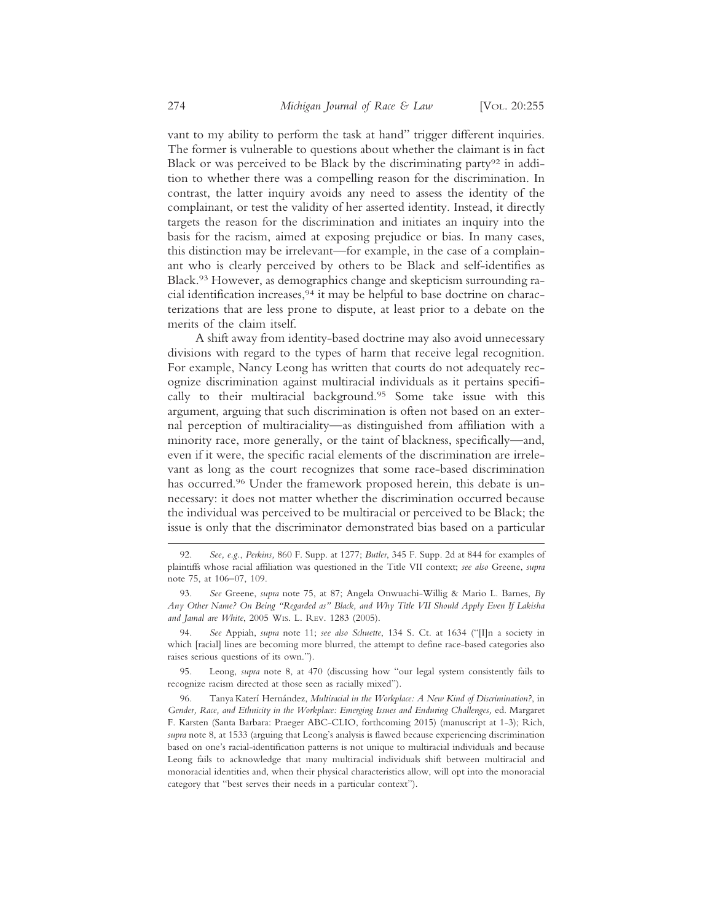vant to my ability to perform the task at hand" trigger different inquiries. The former is vulnerable to questions about whether the claimant is in fact Black or was perceived to be Black by the discriminating party<sup>92</sup> in addition to whether there was a compelling reason for the discrimination. In contrast, the latter inquiry avoids any need to assess the identity of the complainant, or test the validity of her asserted identity. Instead, it directly targets the reason for the discrimination and initiates an inquiry into the basis for the racism, aimed at exposing prejudice or bias. In many cases, this distinction may be irrelevant—for example, in the case of a complainant who is clearly perceived by others to be Black and self-identifies as Black.93 However, as demographics change and skepticism surrounding racial identification increases,94 it may be helpful to base doctrine on characterizations that are less prone to dispute, at least prior to a debate on the merits of the claim itself.

A shift away from identity-based doctrine may also avoid unnecessary divisions with regard to the types of harm that receive legal recognition. For example, Nancy Leong has written that courts do not adequately recognize discrimination against multiracial individuals as it pertains specifically to their multiracial background.95 Some take issue with this argument, arguing that such discrimination is often not based on an external perception of multiraciality—as distinguished from affiliation with a minority race, more generally, or the taint of blackness, specifically—and, even if it were, the specific racial elements of the discrimination are irrelevant as long as the court recognizes that some race-based discrimination has occurred.<sup>96</sup> Under the framework proposed herein, this debate is unnecessary: it does not matter whether the discrimination occurred because the individual was perceived to be multiracial or perceived to be Black; the issue is only that the discriminator demonstrated bias based on a particular

94. *See* Appiah, *supra* note 11; *see also Schuette*, 134 S. Ct. at 1634 ("[I]n a society in which [racial] lines are becoming more blurred, the attempt to define race-based categories also raises serious questions of its own.").

95. Leong, *supra* note 8, at 470 (discussing how "our legal system consistently fails to recognize racism directed at those seen as racially mixed").

<sup>92.</sup> *See, e.g.*, *Perkins,* 860 F. Supp. at 1277; *Butler*, 345 F. Supp. 2d at 844 for examples of plaintiffs whose racial affiliation was questioned in the Title VII context; *see also* Greene, *supra* note 75, at 106–07, 109.

<sup>93.</sup> *See* Greene, *supra* note 75, at 87; Angela Onwuachi-Willig & Mario L. Barnes, *By Any Other Name? On Being "Regarded as" Black, and Why Title VII Should Apply Even If Lakisha and Jamal are White*, 2005 WIS. L. REV. 1283 (2005).

<sup>96.</sup> Tanya Katerí Hernández, *Multiracial in the Workplace: A New Kind of Discrimination?*, in *Gender, Race, and Ethnicity in the Workplace: Emerging Issues and Enduring Challenges,* ed. Margaret F. Karsten (Santa Barbara: Praeger ABC-CLIO, forthcoming 2015) (manuscript at 1-3); Rich, *supra* note 8, at 1533 (arguing that Leong's analysis is flawed because experiencing discrimination based on one's racial-identification patterns is not unique to multiracial individuals and because Leong fails to acknowledge that many multiracial individuals shift between multiracial and monoracial identities and, when their physical characteristics allow, will opt into the monoracial category that "best serves their needs in a particular context").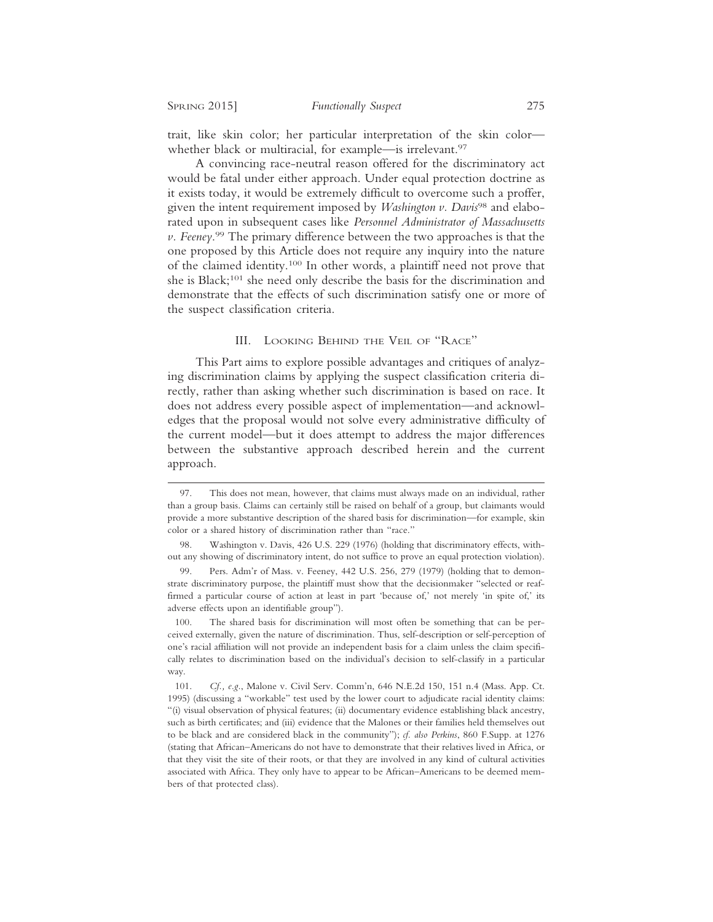trait, like skin color; her particular interpretation of the skin color whether black or multiracial, for example—is irrelevant.<sup>97</sup>

A convincing race-neutral reason offered for the discriminatory act would be fatal under either approach. Under equal protection doctrine as it exists today, it would be extremely difficult to overcome such a proffer, given the intent requirement imposed by *Washington v. Davis*98 and elaborated upon in subsequent cases like *Personnel Administrator of Massachusetts v. Feeney*. 99 The primary difference between the two approaches is that the one proposed by this Article does not require any inquiry into the nature of the claimed identity.100 In other words, a plaintiff need not prove that she is Black;101 she need only describe the basis for the discrimination and demonstrate that the effects of such discrimination satisfy one or more of the suspect classification criteria.

## III. LOOKING BEHIND THE VEIL OF "RACE"

This Part aims to explore possible advantages and critiques of analyzing discrimination claims by applying the suspect classification criteria directly, rather than asking whether such discrimination is based on race. It does not address every possible aspect of implementation—and acknowledges that the proposal would not solve every administrative difficulty of the current model—but it does attempt to address the major differences between the substantive approach described herein and the current approach.

<sup>97.</sup> This does not mean, however, that claims must always made on an individual, rather than a group basis. Claims can certainly still be raised on behalf of a group, but claimants would provide a more substantive description of the shared basis for discrimination—for example, skin color or a shared history of discrimination rather than "race."

<sup>98.</sup> Washington v. Davis, 426 U.S. 229 (1976) (holding that discriminatory effects, without any showing of discriminatory intent, do not suffice to prove an equal protection violation).

<sup>99.</sup> Pers. Adm'r of Mass. v. Feeney, 442 U.S. 256, 279 (1979) (holding that to demonstrate discriminatory purpose, the plaintiff must show that the decisionmaker "selected or reaffirmed a particular course of action at least in part 'because of,' not merely 'in spite of,' its adverse effects upon an identifiable group").

<sup>100.</sup> The shared basis for discrimination will most often be something that can be perceived externally, given the nature of discrimination. Thus, self-description or self-perception of one's racial affiliation will not provide an independent basis for a claim unless the claim specifically relates to discrimination based on the individual's decision to self-classify in a particular way.

<sup>101.</sup> *Cf., e.g.*, Malone v. Civil Serv. Comm'n, 646 N.E.2d 150, 151 n.4 (Mass. App. Ct. 1995) (discussing a "workable" test used by the lower court to adjudicate racial identity claims: "(i) visual observation of physical features; (ii) documentary evidence establishing black ancestry, such as birth certificates; and (iii) evidence that the Malones or their families held themselves out to be black and are considered black in the community"); *cf. also Perkins*, 860 F.Supp. at 1276 (stating that African–Americans do not have to demonstrate that their relatives lived in Africa, or that they visit the site of their roots, or that they are involved in any kind of cultural activities associated with Africa. They only have to appear to be African–Americans to be deemed members of that protected class).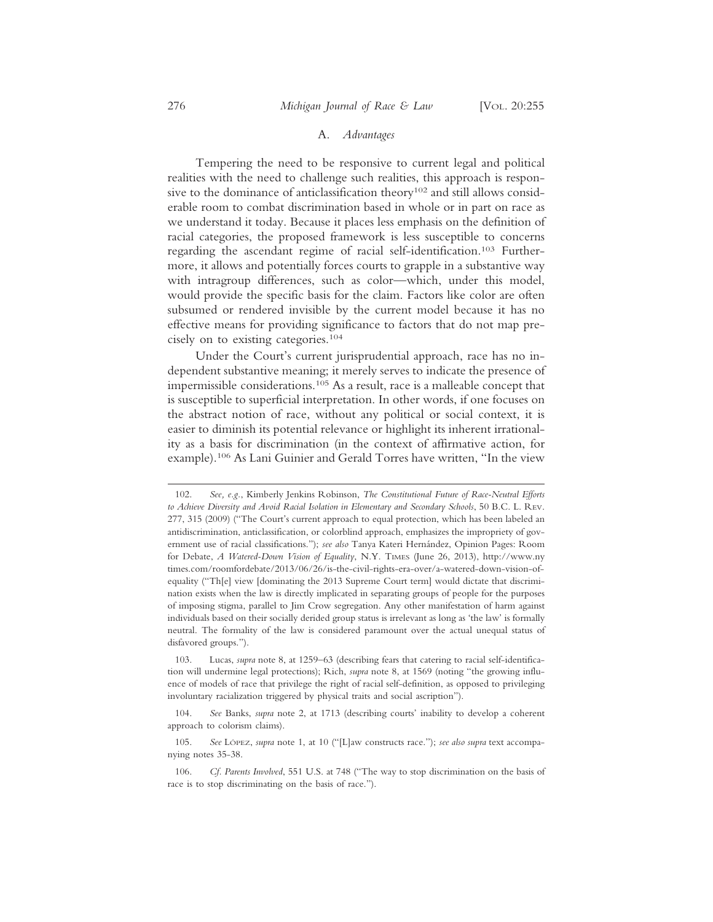#### A. *Advantages*

Tempering the need to be responsive to current legal and political realities with the need to challenge such realities, this approach is responsive to the dominance of anticlassification theory<sup>102</sup> and still allows considerable room to combat discrimination based in whole or in part on race as we understand it today. Because it places less emphasis on the definition of racial categories, the proposed framework is less susceptible to concerns regarding the ascendant regime of racial self-identification.103 Furthermore, it allows and potentially forces courts to grapple in a substantive way with intragroup differences, such as color—which, under this model, would provide the specific basis for the claim. Factors like color are often subsumed or rendered invisible by the current model because it has no effective means for providing significance to factors that do not map precisely on to existing categories.104

Under the Court's current jurisprudential approach, race has no independent substantive meaning; it merely serves to indicate the presence of impermissible considerations.105 As a result, race is a malleable concept that is susceptible to superficial interpretation. In other words, if one focuses on the abstract notion of race, without any political or social context, it is easier to diminish its potential relevance or highlight its inherent irrationality as a basis for discrimination (in the context of affirmative action, for example).106 As Lani Guinier and Gerald Torres have written, "In the view

<sup>102.</sup> *See, e.g.*, Kimberly Jenkins Robinson, *The Constitutional Future of Race-Neutral Efforts to Achieve Diversity and Avoid Racial Isolation in Elementary and Secondary Schools*, 50 B.C. L. REV. 277, 315 (2009) ("The Court's current approach to equal protection, which has been labeled an antidiscrimination, anticlassification, or colorblind approach, emphasizes the impropriety of government use of racial classifications."); *see also* Tanya Kateri Hern´andez, Opinion Pages: Room for Debate, *A Watered-Down Vision of Equality*, N.Y. TIMES (June 26, 2013), http://www.ny times.com/roomfordebate/2013/06/26/is-the-civil-rights-era-over/a-watered-down-vision-ofequality ("Th[e] view [dominating the 2013 Supreme Court term] would dictate that discrimination exists when the law is directly implicated in separating groups of people for the purposes of imposing stigma, parallel to Jim Crow segregation. Any other manifestation of harm against individuals based on their socially derided group status is irrelevant as long as 'the law' is formally neutral. The formality of the law is considered paramount over the actual unequal status of disfavored groups.").

<sup>103.</sup> Lucas, *supra* note 8, at 1259–63 (describing fears that catering to racial self-identification will undermine legal protections); Rich, *supra* note 8, at 1569 (noting "the growing influence of models of race that privilege the right of racial self-definition, as opposed to privileging involuntary racialization triggered by physical traits and social ascription").

<sup>104.</sup> *See* Banks, *supra* note 2, at 1713 (describing courts' inability to develop a coherent approach to colorism claims).

<sup>105.</sup> See LÓPEZ, *supra* note 1, at 10 ("[L]aw constructs race."); *see also supra* text accompanying notes 35-38.

<sup>106.</sup> *Cf. Parents Involved*, 551 U.S. at 748 ("The way to stop discrimination on the basis of race is to stop discriminating on the basis of race.").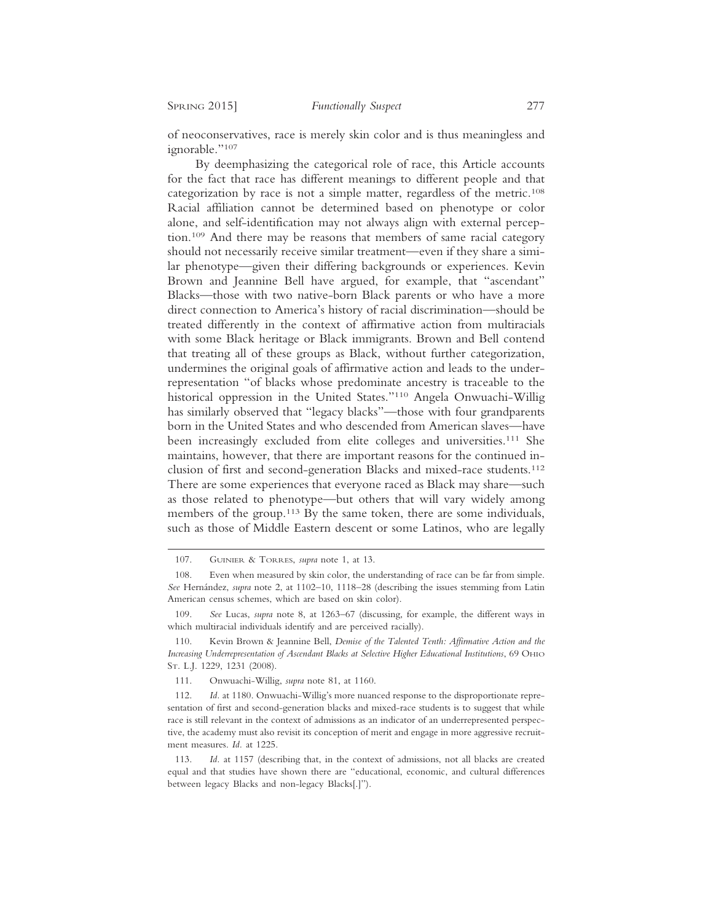of neoconservatives, race is merely skin color and is thus meaningless and ignorable."107

By deemphasizing the categorical role of race, this Article accounts for the fact that race has different meanings to different people and that categorization by race is not a simple matter, regardless of the metric.108 Racial affiliation cannot be determined based on phenotype or color alone, and self-identification may not always align with external perception.109 And there may be reasons that members of same racial category should not necessarily receive similar treatment—even if they share a similar phenotype—given their differing backgrounds or experiences. Kevin Brown and Jeannine Bell have argued, for example, that "ascendant" Blacks—those with two native-born Black parents or who have a more direct connection to America's history of racial discrimination—should be treated differently in the context of affirmative action from multiracials with some Black heritage or Black immigrants. Brown and Bell contend that treating all of these groups as Black, without further categorization, undermines the original goals of affirmative action and leads to the underrepresentation "of blacks whose predominate ancestry is traceable to the historical oppression in the United States."110 Angela Onwuachi-Willig has similarly observed that "legacy blacks"—those with four grandparents born in the United States and who descended from American slaves—have been increasingly excluded from elite colleges and universities.111 She maintains, however, that there are important reasons for the continued inclusion of first and second-generation Blacks and mixed-race students.112 There are some experiences that everyone raced as Black may share—such as those related to phenotype—but others that will vary widely among members of the group.<sup>113</sup> By the same token, there are some individuals, such as those of Middle Eastern descent or some Latinos, who are legally

111. Onwuachi-Willig, *supra* note 81, at 1160.

112. *Id.* at 1180. Onwuachi-Willig's more nuanced response to the disproportionate representation of first and second-generation blacks and mixed-race students is to suggest that while race is still relevant in the context of admissions as an indicator of an underrepresented perspective, the academy must also revisit its conception of merit and engage in more aggressive recruitment measures. *Id.* at 1225.

113. *Id.* at 1157 (describing that, in the context of admissions, not all blacks are created equal and that studies have shown there are "educational, economic, and cultural differences between legacy Blacks and non-legacy Blacks[.]").

<sup>107.</sup> GUINIER & TORRES, *supra* note 1, at 13.

<sup>108.</sup> Even when measured by skin color, the understanding of race can be far from simple. *See* Hern´andez, *supra* note 2, at 1102–10, 1118–28 (describing the issues stemming from Latin American census schemes, which are based on skin color).

<sup>109.</sup> *See* Lucas, *supra* note 8, at 1263–67 (discussing, for example, the different ways in which multiracial individuals identify and are perceived racially).

<sup>110.</sup> Kevin Brown & Jeannine Bell, *Demise of the Talented Tenth: Affirmative Action and the Increasing Underrepresentation of Ascendant Blacks at Selective Higher Educational Institutions*, 69 OHIO ST. L.J. 1229, 1231 (2008).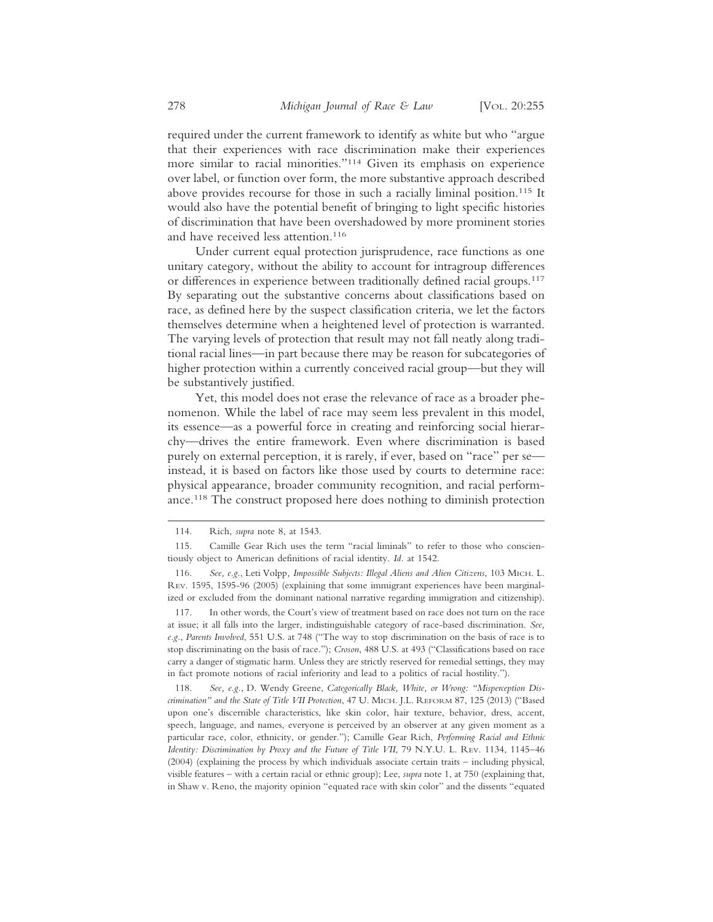required under the current framework to identify as white but who "argue that their experiences with race discrimination make their experiences more similar to racial minorities."114 Given its emphasis on experience over label, or function over form, the more substantive approach described above provides recourse for those in such a racially liminal position.<sup>115</sup> It would also have the potential benefit of bringing to light specific histories of discrimination that have been overshadowed by more prominent stories and have received less attention.<sup>116</sup>

Under current equal protection jurisprudence, race functions as one unitary category, without the ability to account for intragroup differences or differences in experience between traditionally defined racial groups.117 By separating out the substantive concerns about classifications based on race, as defined here by the suspect classification criteria, we let the factors themselves determine when a heightened level of protection is warranted. The varying levels of protection that result may not fall neatly along traditional racial lines—in part because there may be reason for subcategories of higher protection within a currently conceived racial group—but they will be substantively justified.

Yet, this model does not erase the relevance of race as a broader phenomenon. While the label of race may seem less prevalent in this model, its essence—as a powerful force in creating and reinforcing social hierarchy—drives the entire framework. Even where discrimination is based purely on external perception, it is rarely, if ever, based on "race" per se instead, it is based on factors like those used by courts to determine race: physical appearance, broader community recognition, and racial performance.118 The construct proposed here does nothing to diminish protection

117. In other words, the Court's view of treatment based on race does not turn on the race at issue; it all falls into the larger, indistinguishable category of race-based discrimination. *See, e.g.*, *Parents Involved*, 551 U.S. at 748 ("The way to stop discrimination on the basis of race is to stop discriminating on the basis of race."); *Croson*, 488 U.S. at 493 ("Classifications based on race carry a danger of stigmatic harm. Unless they are strictly reserved for remedial settings, they may in fact promote notions of racial inferiority and lead to a politics of racial hostility.").

118. *See, e.g.*, D. Wendy Greene, *Categorically Black, White, or Wrong: "Misperception Discrimination" and the State of Title VII Protection*, 47 U. MICH. J.L. REFORM 87, 125 (2013) ("Based upon one's discernible characteristics, like skin color, hair texture, behavior, dress, accent, speech, language, and names, everyone is perceived by an observer at any given moment as a particular race, color, ethnicity, or gender."); Camille Gear Rich, *Performing Racial and Ethnic Identity: Discrimination by Proxy and the Future of Title VII*, 79 N.Y.U. L. REV. 1134, 1145–46 (2004) (explaining the process by which individuals associate certain traits – including physical, visible features – with a certain racial or ethnic group); Lee, *supra* note 1, at 750 (explaining that, in Shaw v. Reno, the majority opinion "equated race with skin color" and the dissents "equated

<sup>114.</sup> Rich, *supra* note 8, at 1543.

<sup>115.</sup> Camille Gear Rich uses the term "racial liminals" to refer to those who conscientiously object to American definitions of racial identity. *Id.* at 1542.

<sup>116.</sup> *See, e.g.*, Leti Volpp*, Impossible Subjects: Illegal Aliens and Alien Citizens*, 103 MICH. L. REV. 1595, 1595-96 (2005) (explaining that some immigrant experiences have been marginalized or excluded from the dominant national narrative regarding immigration and citizenship).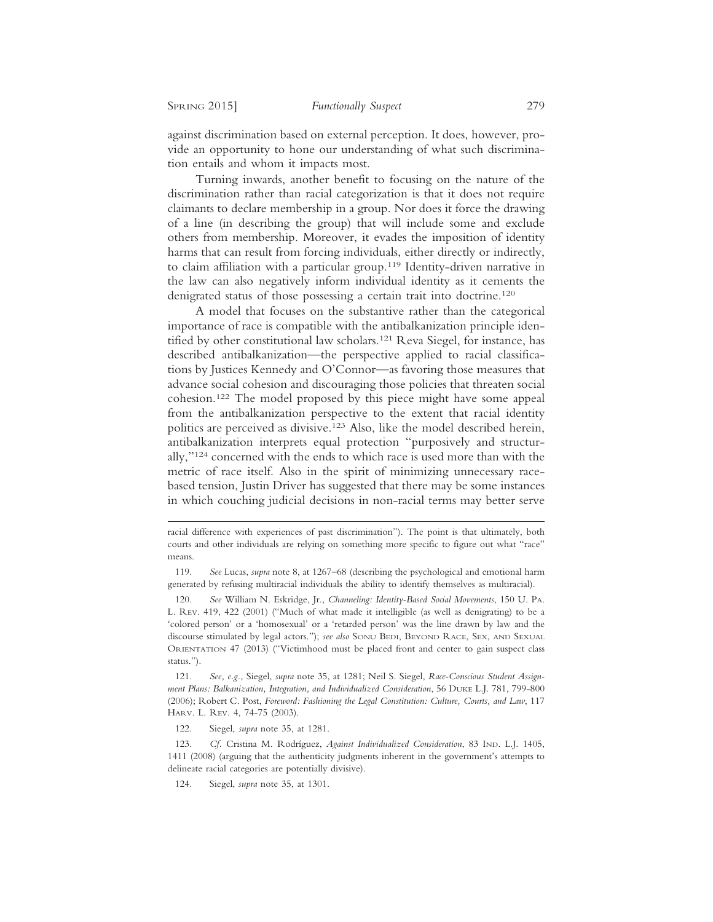against discrimination based on external perception. It does, however, provide an opportunity to hone our understanding of what such discrimination entails and whom it impacts most.

Turning inwards, another benefit to focusing on the nature of the discrimination rather than racial categorization is that it does not require claimants to declare membership in a group. Nor does it force the drawing of a line (in describing the group) that will include some and exclude others from membership. Moreover, it evades the imposition of identity harms that can result from forcing individuals, either directly or indirectly, to claim affiliation with a particular group.119 Identity-driven narrative in the law can also negatively inform individual identity as it cements the denigrated status of those possessing a certain trait into doctrine.<sup>120</sup>

A model that focuses on the substantive rather than the categorical importance of race is compatible with the antibalkanization principle identified by other constitutional law scholars.<sup>121</sup> Reva Siegel, for instance, has described antibalkanization—the perspective applied to racial classifications by Justices Kennedy and O'Connor—as favoring those measures that advance social cohesion and discouraging those policies that threaten social cohesion.122 The model proposed by this piece might have some appeal from the antibalkanization perspective to the extent that racial identity politics are perceived as divisive.123 Also, like the model described herein, antibalkanization interprets equal protection "purposively and structurally,"124 concerned with the ends to which race is used more than with the metric of race itself. Also in the spirit of minimizing unnecessary racebased tension, Justin Driver has suggested that there may be some instances in which couching judicial decisions in non-racial terms may better serve

119. *See* Lucas, *supra* note 8, at 1267–68 (describing the psychological and emotional harm generated by refusing multiracial individuals the ability to identify themselves as multiracial).

120. *See* William N. Eskridge, Jr., *Channeling: Identity-Based Social Movements*, 150 U. PA. L. REV. 419, 422 (2001) ("Much of what made it intelligible (as well as denigrating) to be a 'colored person' or a 'homosexual' or a 'retarded person' was the line drawn by law and the discourse stimulated by legal actors."); *see also* SONU BEDI, BEYOND RACE, SEX, AND SEXUAL ORIENTATION 47 (2013) ("Victimhood must be placed front and center to gain suspect class status.").

121. *See, e.g.*, Siegel, *supra* note 35, at 1281; Neil S. Siegel, *Race-Conscious Student Assignment Plans: Balkanization, Integration, and Individualized Consideration*, 56 DUKE L.J. 781, 799-800 (2006); Robert C. Post, *Foreword: Fashioning the Legal Constitution: Culture, Courts, and Law*, 117 HARV. L. REV. 4, 74-75 (2003).

122. Siegel, *supra* note 35, at 1281.

123. Cf. Cristina M. Rodríguez, *Against Individualized Consideration*, 83 IND. L.J. 1405, 1411 (2008) (arguing that the authenticity judgments inherent in the government's attempts to delineate racial categories are potentially divisive).

124. Siegel, *supra* note 35, at 1301.

racial difference with experiences of past discrimination"). The point is that ultimately, both courts and other individuals are relying on something more specific to figure out what "race" means.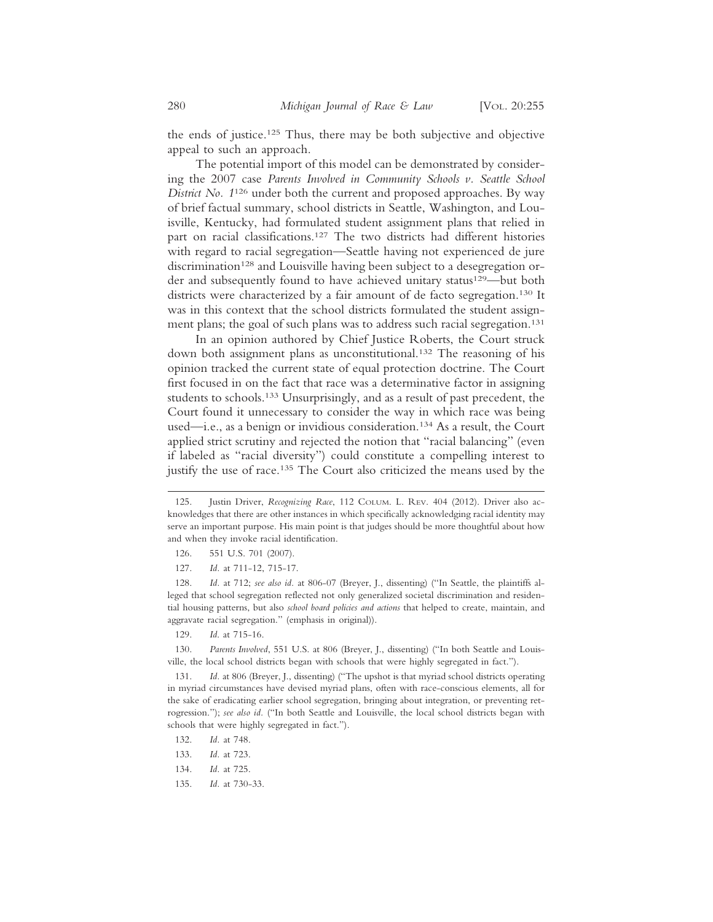the ends of justice.125 Thus, there may be both subjective and objective appeal to such an approach.

The potential import of this model can be demonstrated by considering the 2007 case *Parents Involved in Community Schools v. Seattle School District No. 1*126 under both the current and proposed approaches. By way of brief factual summary, school districts in Seattle, Washington, and Louisville, Kentucky, had formulated student assignment plans that relied in part on racial classifications.127 The two districts had different histories with regard to racial segregation—Seattle having not experienced de jure discrimination<sup>128</sup> and Louisville having been subject to a desegregation order and subsequently found to have achieved unitary status<sup>129</sup>—but both districts were characterized by a fair amount of de facto segregation.<sup>130</sup> It was in this context that the school districts formulated the student assignment plans; the goal of such plans was to address such racial segregation.<sup>131</sup>

In an opinion authored by Chief Justice Roberts, the Court struck down both assignment plans as unconstitutional.132 The reasoning of his opinion tracked the current state of equal protection doctrine. The Court first focused in on the fact that race was a determinative factor in assigning students to schools.133 Unsurprisingly, and as a result of past precedent, the Court found it unnecessary to consider the way in which race was being used—i.e., as a benign or invidious consideration.134 As a result, the Court applied strict scrutiny and rejected the notion that "racial balancing" (even if labeled as "racial diversity") could constitute a compelling interest to justify the use of race.<sup>135</sup> The Court also criticized the means used by the

- 126. 551 U.S. 701 (2007).
- 127. *Id.* at 711-12, 715-17.

128. *Id.* at 712; *see also id.* at 806-07 (Breyer, J., dissenting) ("In Seattle, the plaintiffs alleged that school segregation reflected not only generalized societal discrimination and residential housing patterns, but also *school board policies and actions* that helped to create, maintain, and aggravate racial segregation." (emphasis in original)).

129. *Id*. at 715-16.

130. *Parents Involved*, 551 U.S. at 806 (Breyer, J., dissenting) ("In both Seattle and Louisville, the local school districts began with schools that were highly segregated in fact.").

131. *Id.* at 806 (Breyer, J., dissenting) ("The upshot is that myriad school districts operating in myriad circumstances have devised myriad plans, often with race-conscious elements, all for the sake of eradicating earlier school segregation, bringing about integration, or preventing retrogression."); *see also id.* ("In both Seattle and Louisville, the local school districts began with schools that were highly segregated in fact.").

- 132. *Id.* at 748.
- 133. *Id.* at 723.
- 134. *Id.* at 725.
- 135. *Id.* at 730-33.

<sup>125.</sup> Justin Driver, *Recognizing Race*, 112 COLUM. L. REV. 404 (2012). Driver also acknowledges that there are other instances in which specifically acknowledging racial identity may serve an important purpose. His main point is that judges should be more thoughtful about how and when they invoke racial identification.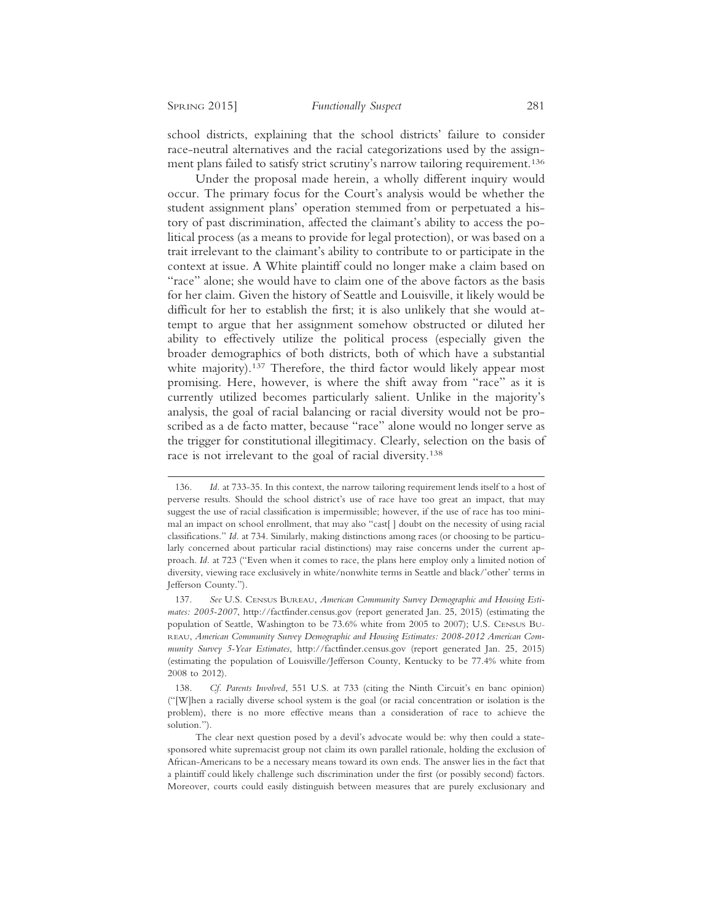school districts, explaining that the school districts' failure to consider race-neutral alternatives and the racial categorizations used by the assignment plans failed to satisfy strict scrutiny's narrow tailoring requirement.<sup>136</sup>

Under the proposal made herein, a wholly different inquiry would occur. The primary focus for the Court's analysis would be whether the student assignment plans' operation stemmed from or perpetuated a history of past discrimination, affected the claimant's ability to access the political process (as a means to provide for legal protection), or was based on a trait irrelevant to the claimant's ability to contribute to or participate in the context at issue. A White plaintiff could no longer make a claim based on "race" alone; she would have to claim one of the above factors as the basis for her claim. Given the history of Seattle and Louisville, it likely would be difficult for her to establish the first; it is also unlikely that she would attempt to argue that her assignment somehow obstructed or diluted her ability to effectively utilize the political process (especially given the broader demographics of both districts, both of which have a substantial white majority).<sup>137</sup> Therefore, the third factor would likely appear most promising. Here, however, is where the shift away from "race" as it is currently utilized becomes particularly salient. Unlike in the majority's analysis, the goal of racial balancing or racial diversity would not be proscribed as a de facto matter, because "race" alone would no longer serve as the trigger for constitutional illegitimacy. Clearly, selection on the basis of race is not irrelevant to the goal of racial diversity.138

<sup>136.</sup> *Id.* at 733-35. In this context, the narrow tailoring requirement lends itself to a host of perverse results. Should the school district's use of race have too great an impact, that may suggest the use of racial classification is impermissible; however, if the use of race has too minimal an impact on school enrollment, that may also "cast[ ] doubt on the necessity of using racial classifications." *Id.* at 734. Similarly, making distinctions among races (or choosing to be particularly concerned about particular racial distinctions) may raise concerns under the current approach. *Id.* at 723 ("Even when it comes to race, the plans here employ only a limited notion of diversity, viewing race exclusively in white/nonwhite terms in Seattle and black/'other' terms in Jefferson County.").

<sup>137.</sup> *See* U.S. CENSUS BUREAU, *American Community Survey Demographic and Housing Estimates: 2005-2007*, http://factfinder.census.gov (report generated Jan. 25, 2015) (estimating the population of Seattle, Washington to be 73.6% white from 2005 to 2007); U.S. CENSUS BU-REAU, *American Community Survey Demographic and Housing Estimates: 2008-2012 American Community Survey 5-Year Estimates*, http://factfinder.census.gov (report generated Jan. 25, 2015) (estimating the population of Louisville/Jefferson County, Kentucky to be 77.4% white from 2008 to 2012).

<sup>138.</sup> *Cf. Parents Involved*, 551 U.S. at 733 (citing the Ninth Circuit's en banc opinion) ("[W]hen a racially diverse school system is the goal (or racial concentration or isolation is the problem), there is no more effective means than a consideration of race to achieve the solution.").

The clear next question posed by a devil's advocate would be: why then could a statesponsored white supremacist group not claim its own parallel rationale, holding the exclusion of African-Americans to be a necessary means toward its own ends. The answer lies in the fact that a plaintiff could likely challenge such discrimination under the first (or possibly second) factors. Moreover, courts could easily distinguish between measures that are purely exclusionary and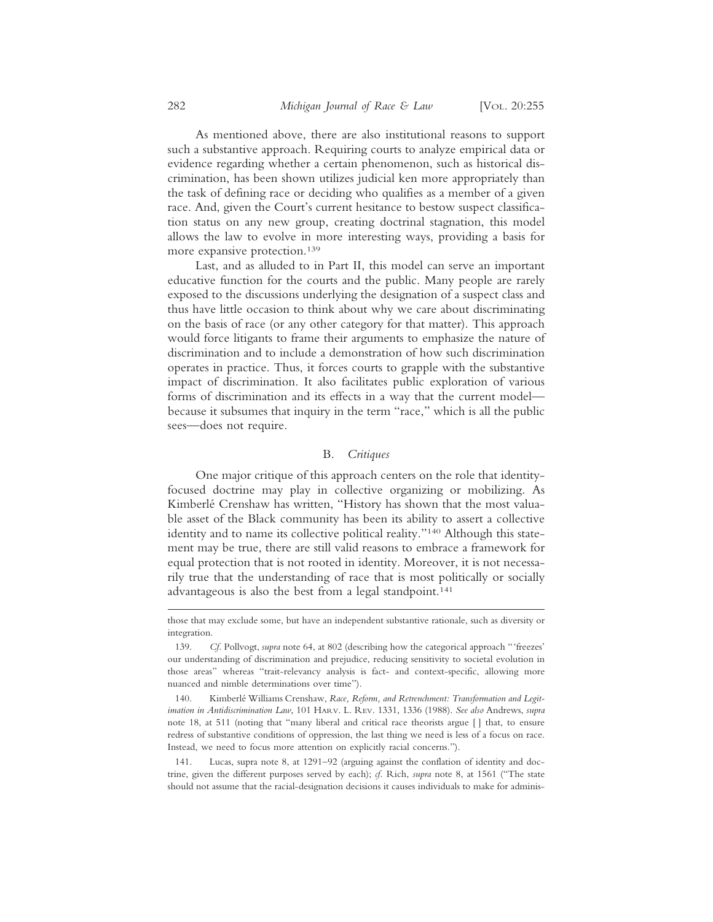As mentioned above, there are also institutional reasons to support such a substantive approach. Requiring courts to analyze empirical data or evidence regarding whether a certain phenomenon, such as historical discrimination, has been shown utilizes judicial ken more appropriately than the task of defining race or deciding who qualifies as a member of a given race. And, given the Court's current hesitance to bestow suspect classification status on any new group, creating doctrinal stagnation, this model allows the law to evolve in more interesting ways, providing a basis for more expansive protection.139

Last, and as alluded to in Part II, this model can serve an important educative function for the courts and the public. Many people are rarely exposed to the discussions underlying the designation of a suspect class and thus have little occasion to think about why we care about discriminating on the basis of race (or any other category for that matter). This approach would force litigants to frame their arguments to emphasize the nature of discrimination and to include a demonstration of how such discrimination operates in practice. Thus, it forces courts to grapple with the substantive impact of discrimination. It also facilitates public exploration of various forms of discrimination and its effects in a way that the current model because it subsumes that inquiry in the term "race," which is all the public sees—does not require.

## B. *Critiques*

One major critique of this approach centers on the role that identityfocused doctrine may play in collective organizing or mobilizing. As Kimberlé Crenshaw has written, "History has shown that the most valuable asset of the Black community has been its ability to assert a collective identity and to name its collective political reality."140 Although this statement may be true, there are still valid reasons to embrace a framework for equal protection that is not rooted in identity. Moreover, it is not necessarily true that the understanding of race that is most politically or socially advantageous is also the best from a legal standpoint.<sup>141</sup>

those that may exclude some, but have an independent substantive rationale, such as diversity or integration.

<sup>139.</sup> *Cf.* Pollvogt, *supra* note 64, at 802 (describing how the categorical approach "'freezes' our understanding of discrimination and prejudice, reducing sensitivity to societal evolution in those areas" whereas "trait-relevancy analysis is fact- and context-specific, allowing more nuanced and nimble determinations over time").

<sup>140.</sup> Kimberl´e Williams Crenshaw, *Race, Reform, and Retrenchment: Transformation and Legitimation in Antidiscrimination Law*, 101 HARV. L. REV. 1331, 1336 (1988). *See also* Andrews, *supra* note 18, at 511 (noting that "many liberal and critical race theorists argue [ ] that, to ensure redress of substantive conditions of oppression, the last thing we need is less of a focus on race. Instead, we need to focus more attention on explicitly racial concerns.").

<sup>141.</sup> Lucas, supra note 8, at 1291–92 (arguing against the conflation of identity and doctrine, given the different purposes served by each); *cf.* Rich, *supra* note 8, at 1561 ("The state should not assume that the racial-designation decisions it causes individuals to make for adminis-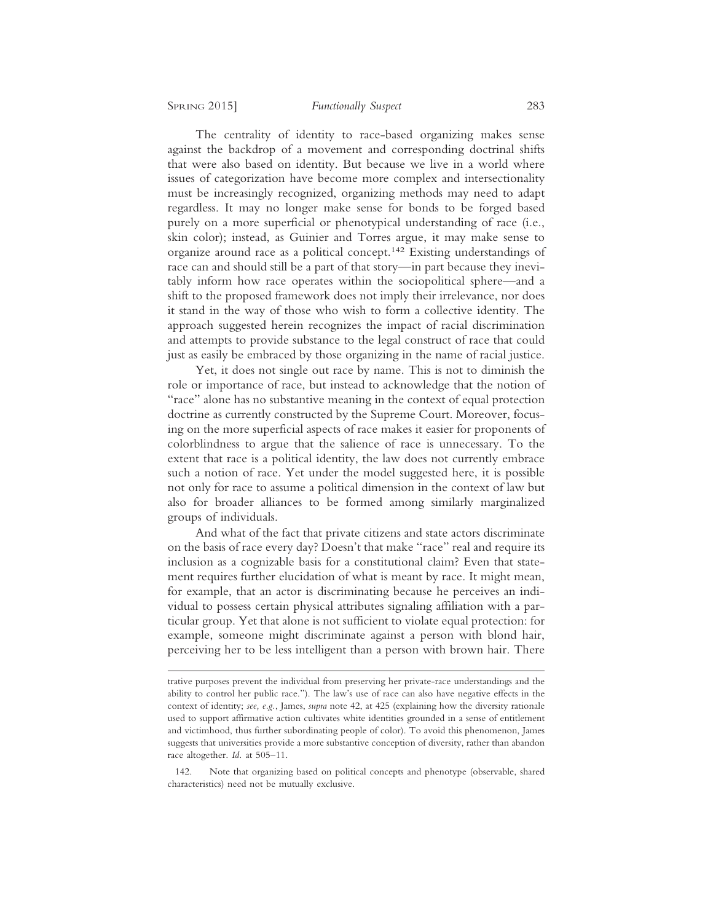The centrality of identity to race-based organizing makes sense against the backdrop of a movement and corresponding doctrinal shifts that were also based on identity. But because we live in a world where issues of categorization have become more complex and intersectionality must be increasingly recognized, organizing methods may need to adapt regardless. It may no longer make sense for bonds to be forged based purely on a more superficial or phenotypical understanding of race (i.e., skin color); instead, as Guinier and Torres argue, it may make sense to organize around race as a political concept.142 Existing understandings of race can and should still be a part of that story—in part because they inevitably inform how race operates within the sociopolitical sphere—and a shift to the proposed framework does not imply their irrelevance, nor does it stand in the way of those who wish to form a collective identity. The approach suggested herein recognizes the impact of racial discrimination and attempts to provide substance to the legal construct of race that could just as easily be embraced by those organizing in the name of racial justice.

Yet, it does not single out race by name. This is not to diminish the role or importance of race, but instead to acknowledge that the notion of "race" alone has no substantive meaning in the context of equal protection doctrine as currently constructed by the Supreme Court. Moreover, focusing on the more superficial aspects of race makes it easier for proponents of colorblindness to argue that the salience of race is unnecessary. To the extent that race is a political identity, the law does not currently embrace such a notion of race. Yet under the model suggested here, it is possible not only for race to assume a political dimension in the context of law but also for broader alliances to be formed among similarly marginalized groups of individuals.

And what of the fact that private citizens and state actors discriminate on the basis of race every day? Doesn't that make "race" real and require its inclusion as a cognizable basis for a constitutional claim? Even that statement requires further elucidation of what is meant by race. It might mean, for example, that an actor is discriminating because he perceives an individual to possess certain physical attributes signaling affiliation with a particular group. Yet that alone is not sufficient to violate equal protection: for example, someone might discriminate against a person with blond hair, perceiving her to be less intelligent than a person with brown hair. There

trative purposes prevent the individual from preserving her private-race understandings and the ability to control her public race."). The law's use of race can also have negative effects in the context of identity; *see, e.g.*, James, *supra* note 42, at 425 (explaining how the diversity rationale used to support affirmative action cultivates white identities grounded in a sense of entitlement and victimhood, thus further subordinating people of color). To avoid this phenomenon, James suggests that universities provide a more substantive conception of diversity, rather than abandon race altogether. *Id.* at 505–11.

<sup>142.</sup> Note that organizing based on political concepts and phenotype (observable, shared characteristics) need not be mutually exclusive.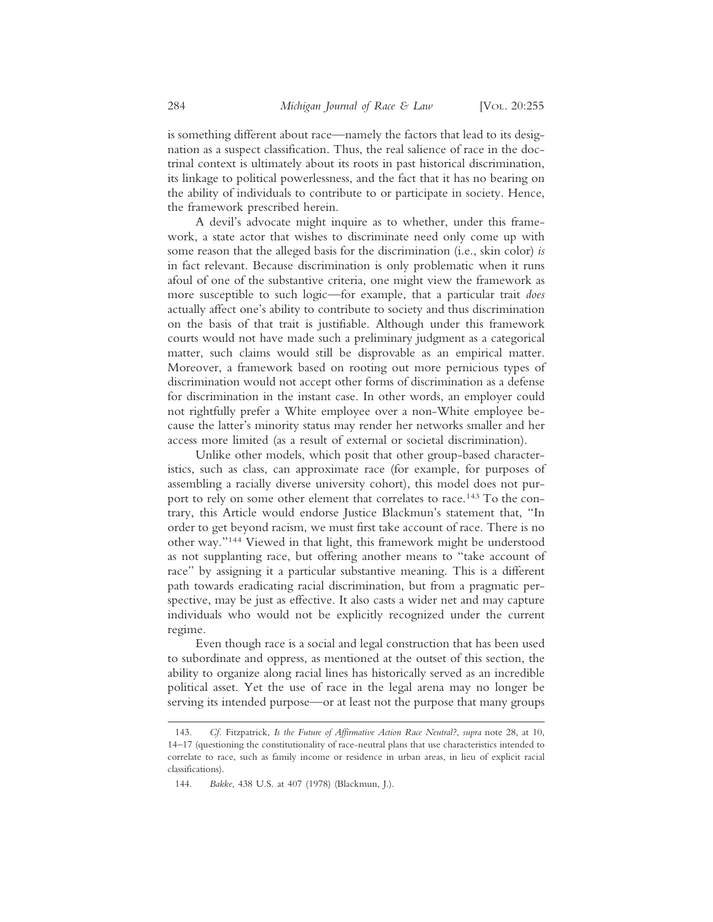is something different about race—namely the factors that lead to its designation as a suspect classification. Thus, the real salience of race in the doctrinal context is ultimately about its roots in past historical discrimination, its linkage to political powerlessness, and the fact that it has no bearing on the ability of individuals to contribute to or participate in society. Hence, the framework prescribed herein.

A devil's advocate might inquire as to whether, under this framework, a state actor that wishes to discriminate need only come up with some reason that the alleged basis for the discrimination (i.e., skin color) *is* in fact relevant. Because discrimination is only problematic when it runs afoul of one of the substantive criteria, one might view the framework as more susceptible to such logic—for example, that a particular trait *does* actually affect one's ability to contribute to society and thus discrimination on the basis of that trait is justifiable. Although under this framework courts would not have made such a preliminary judgment as a categorical matter, such claims would still be disprovable as an empirical matter. Moreover, a framework based on rooting out more pernicious types of discrimination would not accept other forms of discrimination as a defense for discrimination in the instant case. In other words, an employer could not rightfully prefer a White employee over a non-White employee because the latter's minority status may render her networks smaller and her access more limited (as a result of external or societal discrimination).

Unlike other models, which posit that other group-based characteristics, such as class, can approximate race (for example, for purposes of assembling a racially diverse university cohort), this model does not purport to rely on some other element that correlates to race.<sup>143</sup> To the contrary, this Article would endorse Justice Blackmun's statement that, "In order to get beyond racism, we must first take account of race. There is no other way."144 Viewed in that light, this framework might be understood as not supplanting race, but offering another means to "take account of race" by assigning it a particular substantive meaning. This is a different path towards eradicating racial discrimination, but from a pragmatic perspective, may be just as effective. It also casts a wider net and may capture individuals who would not be explicitly recognized under the current regime.

Even though race is a social and legal construction that has been used to subordinate and oppress, as mentioned at the outset of this section, the ability to organize along racial lines has historically served as an incredible political asset. Yet the use of race in the legal arena may no longer be serving its intended purpose—or at least not the purpose that many groups

<sup>143.</sup> *Cf.* Fitzpatrick, *Is the Future of Affirmative Action Race Neutral?*, *supra* note 28, at 10, 14–17 (questioning the constitutionality of race-neutral plans that use characteristics intended to correlate to race, such as family income or residence in urban areas, in lieu of explicit racial classifications).

<sup>144.</sup> *Bakke*, 438 U.S. at 407 (1978) (Blackmun, J.).